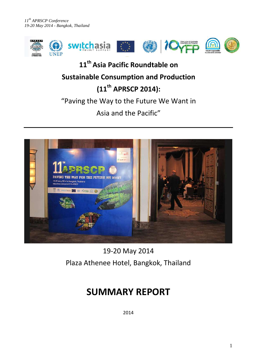

# **11th Asia Pacific Roundtable on Sustainable Consumption and Production (11th APRSCP 2014):**

"Paving the Way to the Future We Want in

Asia and the Pacific"



19-20 May 2014 Plaza Athenee Hotel, Bangkok, Thailand

# **SUMMARY REPORT**

2014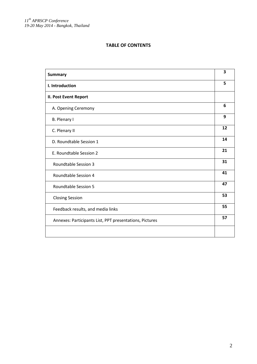# **TABLE OF CONTENTS**

| <b>Summary</b>                                          | 3  |
|---------------------------------------------------------|----|
| I. Introduction                                         | 5  |
| <b>II. Post Event Report</b>                            |    |
| A. Opening Ceremony                                     | 6  |
| B. Plenary I                                            | 9  |
| C. Plenary II                                           | 12 |
| D. Roundtable Session 1                                 | 14 |
| E. Roundtable Session 2                                 | 21 |
| <b>Roundtable Session 3</b>                             | 31 |
| <b>Roundtable Session 4</b>                             | 41 |
| <b>Roundtable Session 5</b>                             | 47 |
| <b>Closing Session</b>                                  | 53 |
| Feedback results, and media links                       | 55 |
| Annexes: Participants List, PPT presentations, Pictures | 57 |
|                                                         |    |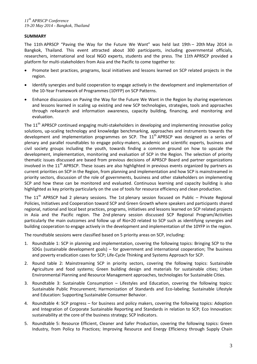## **SUMMARY**

The 11th APRSCP "Paving the Way for the Future We Want" was held last 19th – 20th May 2014 in Bangkok, Thailand. This event attracted about 300 participants, including governmental officials, researchers, international and local NGO experts, students and the press. The 11th APRSCP provided a platform for multi-stakeholders from Asia and the Pacific to come together to:

- Promote best practices, programs, local initiatives and lessons learned on SCP related projects in the region.
- Identify synergies and build cooperation to engage actively in the development and implementation of the 10-Year Framework of Programmes (10YFP) on SCP Patterns.
- Enhance discussions on Paving the Way for the Future We Want in the Region by sharing experiences and lessons learned in scaling up existing and new SCP technologies, strategies, tools and approaches through re4search and information awareness, capacity building, financing, and monitoring and evaluation.

The 11<sup>th</sup> APRSCP continued engaging multi-stakeholders in developing and implementing innovative policy solutions, up-scaling technology and knowledge benchmarking, approaches and instruments towards the development and implementation programmes on SCP. The  $11<sup>th</sup>$  APRSCP was designed as a series of plenary and parallel roundtables to engage policy-makers, academic and scientific experts, business and civil society groups including the youth, towards finding a common ground on how to upscale the development, implementation, monitoring and evaluation of SCP in the Region. The selection of priority thematic issues discussed are based from previous decisions of APRSCP Board and partner organizations involved in the 11<sup>th</sup> APRSCP. These issues are also highlighted in previous events organized by partners as current priorities on SCP in the Region, from planning and implementation and how SCP is mainstreamed in priority sectors, discussion of the role of governments, business and other stakeholders on implementing SCP and how these can be monitored and evaluated. Continuous learning and capacity building is also highlighted as key priority particularly on the use of tools for resource efficiency and clean production.

The  $11<sup>th</sup>$  APRSCP had 2 plenary sessions. The 1st plenary session focused on Public – Private Regional Policies, Initiatives and Cooperation toward SCP and Green Growth where speakers and participants shared regional, national and local best practices, programs, initiatives and lessons learned on SCP related projects in Asia and the Pacific region. The 2nd plenary session discussed SCP Regional Program/Activities particularly the main outcomes and follow up of Rio+20 related to SCP such as identifying synergies and building cooperation to engage actively in the development and implementation of the 10YFP in the region.

The roundtable sessions were classified based on 5 priority areas on SCP, including:

- 1. Roundtable 1: SCP in planning and implementation, covering the following topics: Bringing SCP to the SDGs (sustainable development goals) – for government and international cooperation; The business and poverty eradication cases for SCP; Life-Cycle Thinking and Systems Approach for SCP.
- 2. Round table 2: Mainstreaming SCP in priority sectors, covering the following topics: Sustainable Agriculture and food systems; Green building design and materials for sustainable cities; Urban Environmental Planning and Resource Management approaches, technologies for Sustainable Cities.
- 3. Roundtable 3: Sustainable Consumption Lifestyles and Education, covering the following topics: Sustainable Public Procurement; Harmonization of Standards and Eco-labeling; Sustainable Lifestyle and Education: Supporting Sustainable Consumer Behavior.
- 4. Roundtable 4: SCP progress for business and policy makers, covering the following topics: Adoption and Integration of Corporate Sustainable Reporting and Standards in relation to SCP; Eco Innovation: sustainability at the core of the business strategy; SCP Indicators.
- 5. Roundtable 5: Resource Efficient, Cleaner and Safer Production, covering the following topics: Green Industry, from Policy to Practices; Improving Resource and Energy Efficiency through Supply Chain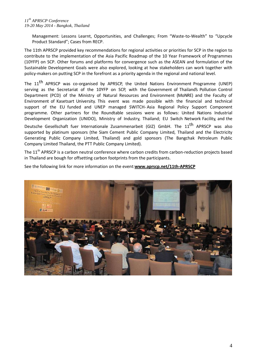Management: Lessons Learnt, Opportunities, and Challenges; From "Waste-to-Wealth" to "Upcycle Product Standard"; Cases from RECP.

The 11th APRSCP provided key recommendations for regional activities or priorities for SCP in the region to contribute to the implementation of the Asia Pacific Roadmap of the 10 Year Framework of Programmes (10YFP) on SCP. Other forums and platforms for convergence such as the ASEAN and formulation of the Sustainable Development Goals were also explored, looking at how stakeholders can work together with policy-makers on putting SCP in the forefront as a priority agenda in the regional and national level.

The 11<sup>th</sup> APRSCP was co-organised by APRSCP, the United Nations Environment Programme (UNEP) serving as the Secretariat of the 10YFP on SCP, with the Government of Thailand's Pollution Control Department (PCD) of the Ministry of Natural Resources and Environment (MoNRE) and the Faculty of Environment of Kasetsart University. This event was made possible with the financial and technical support of the EU funded and UNEP managed SWITCH- Asia Regional Policy Support Component programme. Other partners for the Roundtable sessions were as follows: United Nations Industrial Development Organization (UNIDO), Ministry of Industry, Thailand; EU Switch Network Facility, and the

Deutsche Gesellschaft fuer Internationale Zusammenarbeit (GIZ) GmbH. The 11<sup>th</sup> APRSCP was also supported by platinum sponsors (the Siam Cement Public Company Limited, Thailand and the Electricity Generating Public Company Limited, Thailand) and gold sponsors (The Bangchak Petroleum Public Company Limited Thailand, the PTT Public Company Limited).

The 11<sup>th</sup> APRSCP is a carbon neutral conference where carbon credits from carbon-reduction projects based in Thailand are bough for offsetting carbon footprints from the participants.

See the following link for more information on the event:**[www.aprscp.net/11th-APRSCP](http://www.aprscp.net/11th-APRSCP)**

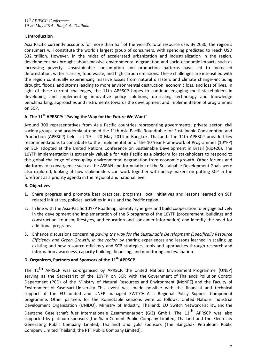# **I. Introduction**

Asia Pacific currently accounts for more than half of the world's total resource use. By 2030, the region's consumers will constitute the world's largest group of consumers, with spending predicted to reach USD \$32 trillion. However, in the midst of accelerated urbanization and industrialization in the region, development has brought about massive environmental degradation and socio-economic impacts such as increasing poverty. Unsustainable consumption and production patterns have led to increased deforestation, water scarcity, food waste, and high carbon emissions. These challenges are intensified with the region continually experiencing massive losses from natural disasters and climate change--including drought, floods, and storms leading to more environmental destruction, economic loss, and loss of lives. In light of these current challenges, the 11th APRSCP hopes to continue engaging multi-stakeholders in developing and implementing innovative policy solutions, up-scaling technology and knowledge benchmarking, approaches and instruments towards the development and implementation of programmes on SCP.

# **A. The 11th APRSCP: "Paving the Way for the Future We Want"**

Around 300 representatives from Asia Pacific countries representing governments, private sector, civil society groups, and academia attended the 11th Asia Pacific Roundtable for Sustainable Consumption and Production (APRSCP) held last 19 -- 20 May 2014 in Bangkok, Thailand. The 11th APRSCP provided key recommendations to contribute to the implementation of the 10 Year Framework of Programmes (10YFP) on SCP adopted at the United Nations Conference on Sustainable Development in Brazil (Rio+20). The 10YFP implementation is extremely valuable for Asia Pacific as a platform for stakeholders to respond to the global challenge of decoupling environmental degradation from economic growth. Other forums and platforms for convergence such as the ASEAN and formulation of the Sustainable Development Goals were also explored, looking at how stakeholders can work together with policy-makers on putting SCP in the forefront as a priority agenda in the regional and national level.

#### **B. Objectives**

- 1. Share progress and promote best practices, programs, local initiatives and lessons learned on SCP related initiatives, policies, activities in Asia and the Pacific region.
- 2. In line with the Asia-Pacific 10YFP Roadmap, identify synergies and build cooperation to engage actively in the development and implementation of the 5 programs of the 10YFP (procurement, buildings and construction, tourism, lifestyles, and education and consumer information) and identify the need for additional programs.
- 3. Enhance discussions concerning *paving the way for the Sustainable Development (Specifically Resource Efficiency and Green Growth) in the region* by sharing experiences and lessons learned in scaling up existing and new resource efficiency and SCP strategies, tools and approaches through research and information awareness, capacity building, financing, and monitoring and evaluation.

# **D. Organizers, Partners and Sponsors of the 11th APRSCP**

The 11<sup>th</sup> APRSCP was co-organised by APRSCP, the United Nations Environment Programme (UNEP) serving as the Secretariat of the 10YFP on SCP, with the Government of Thailand's Pollution Control Department (PCD) of the Ministry of Natural Resources and Environment (MoNRE) and the Faculty of Environment of Kasetsart University. This event was made possible with the financial and technical support of the EU funded and UNEP managed SWITCH- Asia Regional Policy Support Component programme. Other partners for the Roundtable sessions were as follows: United Nations Industrial Development Organization (UNIDO), Ministry of Industry, Thailand; EU Switch Network Facility, and the

Deutsche Gesellschaft fuer Internationale Zusammenarbeit (GIZ) GmbH. The 11<sup>th</sup> APRSCP was also supported by platinum sponsors (the Siam Cement Public Company Limited, Thailand and the Electricity Generating Public Company Limited, Thailand) and gold sponsors (The Bangchak Petroleum Public Company Limited Thailand, the PTT Public Company Limited).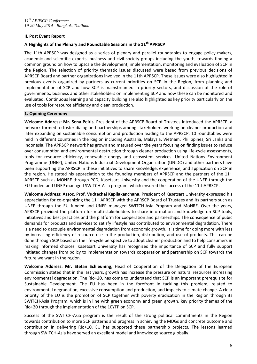## **II. Post Event Report**

# **A.Highlights of the Plenary and Roundtable Sessions in the 11th APRSCP**

The 11th APRSCP was designed as a series of plenary and parallel roundtables to engage policy-makers, academic and scientific experts, business and civil society groups including the youth, towards finding a common ground on how to upscale the development, implementation, monitoring and evaluation of SCP in the Region. The selection of priority thematic issues discussed were based from previous decisions of APRSCP Board and partner organizations involved in the 11th APRSCP. These issues were also highlighted in previous events organized by partners as current priorities on SCP in the Region, from planning and implementation of SCP and how SCP is mainstreamed in priority sectors, and discussion of the role of governments, business and other stakeholders on implementing SCP and how these can be monitored and evaluated. Continuous learning and capacity building are also highlighted as key priority particularly on the use of tools for resource efficiency and clean production.

#### **1. Opening Ceremony**

**Welcome Address: Mr. Sena Peiris**, President of the APRSCP Board of Trustees introduced the APRSCP, a network formed to foster dialog and partnerships among stakeholders working on cleaner production and later expanding on sustainable consumption and production leading to the APRSCP. 10 roundtables were held in different countries in the Region including Australia, Malaysia, Vietnam, Philippines, Sri Lanka and Indonesia. The APRSCP network has grown and matured over the years focusing on finding issues to reduce over consumption and environmental destruction through cleaner production using life-cycle assessments, tools for resource efficiency, renewable energy and ecosystem services. United Nations Environment Programme (UNEP), United Nations Industrial Development Organization (UNIDO) and other partners have been supporting the APRSCP in these initiatives to share knowledge, experience, and application on SCP in the region. He stated his appreciation to the founding members of APRSCP and the partners of the 11<sup>th</sup> APRSCP such as MONRE through PCD, Kasetsart University and the cooperation of the UNEP through the EU funded and UNEP managed SWITCH-Asia program, which ensured the success of the 11thAPRSCP.

**Welcome Address: Assoc. Prof. Vudtechai Kapilakanchana**, President of Kasetsart University expressed his appreciation for co-organizing the  $11<sup>th</sup>$  APRSCP with the APRSCP Board of Trustees and its partners such as UNEP through the EU funded and UNEP managed SWITCH-Asia Program and MoNRE. Over the years, APRSCP provided the platform for multi-stakeholders to share information and knowledge on SCP tools, initiatives and best practices and the platform for cooperation and partnerships. The consequence of pubic demands for products and services to satisfy lifestyle has contributed to environmental degradation. There is a need to decouple environmental degradation from economic growth. It is time for doing more with less by increasing efficiency of resource use in the production, distribution, and use of products. This can be done through SCP based on the life-cycle perspective to adopt cleaner production and to help consumers in making informed choices. Kasetsart University has recognized the importance of SCP and fully support initiated changes from policy to implementation towards cooperation and partnership on SCP towards the future we want in the region.

**Welcome Address: Mr. Stefan Schleuning**, Head of Cooperation of the Delegation of the European Commission stated that in the last years, growth has increase the pressure on natural resources increasing environmental degradation. The Rio+20, has come to understand that SCP is an important prerequisite for Sustainable Development. The EU has been in the forefront in tackling this problem, related to environmental degradation, excessive consumption and production, and impacts to climate change. A clear priority of the EU is the promotion of SCP together with poverty eradication in the Region through its SWITCH-Asia Program, which is in line with green economy and green growth, key priority themes of the Rio+20 through the implementation of the 10YFP on SCP.

Success of the SWITCH-Asia program is the result of the strong political commitments in the Region towards contribution to more SCP patterns and progress in achieving the MDGs and concrete outcome and contribution in delivering Rio+10. EU has supported these partnership projects. The lessons learned through SWITCH-Asia have served an excellent model and knowledge source globally.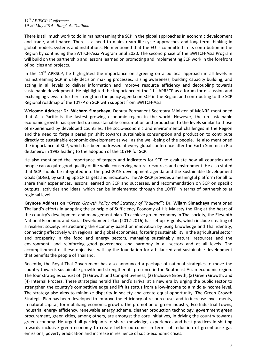There is still much work to do in mainstreaming the SCP in the global approaches in economic development and trade, and finance. There is a need to mainstream life-cycle approaches and long-term thinking in global models, systems and institutions. He mentioned that the EU is committed in its contribution in the Region by continuing the SWITCH-Asia Program until 2020. The second phase of the SWITCH-Asia Program will build on the partnership and lessons learned on promoting and implementing SCP work in the forefront of policies and projects.

In the  $11<sup>th</sup>$  APRSCP, he highlighted the importance on agreeing on a political approach in all levels in mainstreaming SCP in daily decision making processes, raising awareness, building capacity building, and acting in all levels to deliver information and improve resource efficiency and decoupling towards sustainable development. He highlighted the importance of the 11<sup>th</sup> APRSCP as a forum for discussion and exchanging views to further strengthen the policy agenda on SCP in the Region and contributing to the SCP Regional roadmap of the 10YFP on SCP with support from SWITCH-Asia

**Welcome Address: Dr. Wicharn Simachaya**, Deputy Permanent Secretary Minister of MoNRE mentioned that Asia Pacific is the fastest growing economic region in the world. However, the un-sustainable economic growth has speeded up unsustainable consumption and production to the levels similar to those of experienced by developed countries. The socio-economic and environmental challenges in the Region and the need to forge a paradigm shift towards sustainable consumption and production to contribute directly to sustainable economic development as well as the well-being of the people. He also mentioned the importance of SCP, which has been addressed at every global conference after the Earth Summit in Rio de Janeiro in 1992 leading to the adoption of the 10YFP for SCP.

He also mentioned the importance of targets and indicators for SCP to evaluate how all countries and people can acquire good quality of life while conserving natural resources and environment. He also stated that SCP should be integrated into the post-2015 development agenda and the Sustainable Development Goals (SDGs), by setting up SCP targets and indicators. The APRSCP provides a meaningful platform for all to share their experiences, lessons learned on SCP and successes, and recommendation on SCP on specific outputs, activities and ideas, which can be implemented through the 10YFP in terms of partnerships at regional level.

**Keynote Address on** *"Green Growth Policy and Strategy of Thailand"***: Dr. Wijarn Simachaya** mentioned Thailand's efforts in adopting the principle of Sufficiency Economy of His Majesty the King at the heart of the country's development and management plan. To achieve green economy in Thai society, the Eleventh National Economic and Social Development Plan (2012-2016) has set up 6 goals, which include creating of a resilient society, restructuring the economy based on innovation by using knowledge and Thai identity, connecting effectively with regional and global economies, fostering sustainability in the agricultural sector and prosperity in the food and energy sectors, managing sustainably natural resources and the environment, and reinforcing good governance and harmony in all sectors and at all levels. The accomplishment of these objectives will lay the foundation for a balanced and sustainable development that benefits the people of Thailand.

Recently, the Royal Thai Government has also announced a package of national strategies to move the country towards sustainable growth and strengthen its presence in the Southeast Asian economic region. The four strategies consist of: (1) Growth and Competitiveness; (2) Inclusive Growth; (3) Green Growth; and (4) Internal Process. These strategies herald Thailand's arrival at a new era by urging the public sector to strengthen the country's competitive edge and lift its status from a low-income to a middle-income level. The strategy also aims to minimize disparity in society and create equal opportunity. The Green Growth Strategic Plan has been developed to improve the efficiency of resource use, and to increase investments, in natural capital, for mobilizing economic growth. The promotion of green industry, Eco Industrial Towns, industrial energy efficiency, renewable energy scheme, cleaner production technology, government green procurement, green cities, among others, are amongst the core initiatives, in driving the country towards green economy. He urged all participants to share knowledge, experiences and best practices in shifting towards inclusive green economy to create better outcomes in terms of reduction of greenhouse gas emissions, poverty eradication and increase in resilience of socio-economic crises.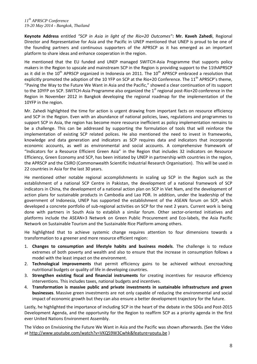**Keynote Address** entitled *"SCP in Asia in light of the Rio+20 Outcomes"***: Mr. Kaveh Zahedi**, Regional Director and Representative for Asia and the Pacific in UNEP mentioned that UNEP is proud to be one of the founding partners and continuous supporters of the APRSCP as it has emerged as an important platform to share ideas and enhance cooperation in the region.

He mentioned that the EU funded and UNEP managed SWITCH-Asia Programme that supports policy makers in the Region to upscale and mainstream SCP in the Region is providing support to the 11thAPRSCP as it did in the  $10<sup>th</sup>$  APRSCP organized in Indonesia on 2011. The  $10<sup>th</sup>$  APRSCP embraced a resolution that explicitly promoted the adoption of the 10 YFP on SCP at the Rio+20 Conference. The  $11<sup>th</sup>$  APRSCP's theme, "Paving the Way to the Future We Want in Asia and the Pacific," showed a clear continuation of its support to the 10YFP on SCP. SWITCH-Asia Programme also organized the 1<sup>st</sup> regional post-Rio+20 conference in the Region in November 2012 in Bangkok developing the regional roadmap for the implementation of the 10YFP in the region.

Mr. Zahedi highlighted the time for action is urgent drawing from important facts on resource efficiency and SCP in the Region. Even with an abundance of national policies, laws, regulations and programmes to support SCP in Asia, the region has become more resource inefficient as policy implementation remains to be a challenge. This can be addressed by supporting the formulation of tools that will reinforce the implementation of existing SCP related polices. He also mentioned the need to invest in frameworks, knowledge and data generation and indicators as SCP requires data and indicators that incorporate economic accounts, as well as environmental and social accounts. A comprehensive framework of "Indicators for a Resource Efficient Green Asia" in the Region that includes 32 indicators on Resource Efficiency, Green Economy and SCP, has been initiated by UNEP in partnership with countries in the region, the APRSCP and the CSIRO (Commonwealth Scientific Industrial Research Organisation). This will be used in 22 countries in Asia for the last 30 years.

He mentioned other notable regional accomplishments in scaling up SCP in the Region such as the establishment of a national SCP Centre in Pakistan, the development of a national framework of SCP indicators in China, the development of a national action plan on SCP in Viet Nam, and the development of action plans for sustainable products in Cambodia and Lao PDR. In addition, under the leadership of the government of Indonesia, UNEP has supported the establishment of the ASEAN forum on SCP, which developed a concrete portfolio of sub-regional activities on SCP for the next 2 years. Current work is being done with partners in South Asia to establish a similar forum. Other sector-oriented initiatives and platforms include the ASEAN+3 Network on Green Public Procurement and Eco-labels, the Asia Pacific Network on Sustainable Tourism and the Sustainable Rice Platform among others.

He highlighted that to achieve systemic change requires attention to four dimensions towards a transformation to a greener and more resource efficient region:

- 1. **Changes to consumption and lifestyle habits and business models**. The challenge is to reduce extremes of both poverty and wealth and also to ensure that the increase in consumption follows a model with the least impact on the environment.
- 2. **Technological improvements** that permit efficiency gains to be achieved without encroaching nutritional budgets or quality of life in developing countries.
- 3. **Strengthen existing fiscal and financial instruments** for creating incentives for resource efficiency interventions. This includes taxes, national budgets and incentives.
- 4. **Transformation is massive public and private investments in sustainable infrastructure and green businesses**. Massive green investments are not only capable of reducing the environmental and social impact of economic growth but they can also ensure a better development trajectory for the future.

Lastly, he highlighted the importance of including SCP in the heart of the debate in the SDGs and Post-2015 Development Agenda, and the opportunity for the Region to reaffirm SCP as a priority agenda in the first ever United Nations Environment Assembly.

The Video on Envisioning the Future We Want in Asia and the Pacific was shown afterwards. (See the Video at<http://www.youtube.com/watch?v=VKQ59W3Cwhk&feature=youtu.be> )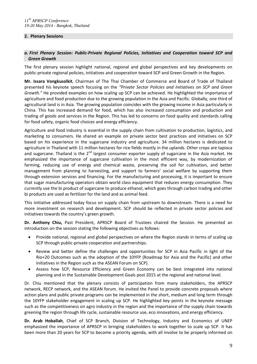#### **2. Plenary Sessions**

# *a. First Plenary Session: Public-Private Regional Policies, Initiatives and Cooperation toward SCP and Green Growth*

The first plenary session highlight national, regional and global perspectives and key developments on public-private regional policies, initiatives and cooperation toward SCP and Green Growth in the Region.

**Mr. Issara Vongkusolkit**, Chairman of The Thai Chamber of Commerce and Board of Trade of Thailand presented his keynote speech focusing on the *"Private Sector Policies and Initiatives on SCP and Green Growth."* He provided examples on how scaling up SCP can be achieved. He highlighted the importance of agriculture and food production due to the growing population in the Asia and Pacific. Globally, one third of agricultural land is in Asia. The growing population coincides with the growing income in Asia particularly in China. This has increased demand for food, which has also increased consumption and production and trading of goods and services in the Region. This has led to concerns on food quality and standards calling for food safety, organic food choices and energy efficiency.

Agriculture and food industry is essential in the supply chain from cultivation to production, logistics, and marketing to consumers. He shared an example on private sector best practices and initiatives on SCP based on his experience in the sugarcane industry and agriculture. 34 million hectares is dedicated to agriculture in Thailand with 11 million hectares for rice fields mostly in the uplands. Other crops are tapioca and sugarcane. Thailand is the 2<sup>nd</sup> largest consumer exporter supply of sugarcane in the Asia market. He emphasized the importance of sugarcane cultivation in the most efficient way, by modernization of farming, reducing use of energy and chemical waste, preserving the soil for cultivation, and better management from planning to harvesting, and support to farmers' social welfare by supporting them through extension services and financing. For the manufacturing and processing, it is important to ensure that sugar manufacturing operators obtain world class equipment that reduces energy consumption. They currently use the bi product of sugarcane to produce ethanol, which goes through carbon trading and other bi products are used as fertilizer for the land and as animal feed.

This initiative addressed today focus on supply chain from upstream to downstream. There is a need for more investment on research and development. SCP should be reflected in private sector policies and initiatives towards the country's green growth.

**Dr. Anthony Chiu,** Past President, APRSCP Board of Trustees chaired the Session. He presented an introduction on the session stating the following objectives as follows:

- Provide national, regional and global perspectives on where the Region stands in terms of scaling up SCP through public-private cooperation and partnerships.
- Review and better define the challenges and opportunities for SCP in Asia Pacific in light of the Rio+20 Outcomes such as the adoption of the 10YFP (Roadmap for Asia and the Pacific) and other initiatives in the Region such as the ASEAN Forum on SCP).
- Assess how SCP, Resource Efficiency and Green Economy can be best integrated into national planning and in the Sustainable Development Goals post 2015 at the regional and national level.

Dr. Chiu mentioned that the plenary consists of participation from many stakeholders, the APRSCP network, RECP network, and the ASEAN forum. He invited the Panel to provide concrete proposals where action plans and public private programs can be implemented in the short, medium and long term through the 10YFP stakeholder engagement in scaling up SCP. He highlighted key points in the keynote message such as the competitiveness on agro industry in the region and the importance of the supply chain towards greening the region through life cycle, sustainable resource use, eco innovations, and energy efficiency.

**Dr. Arab Hoballah**, Chief of SCP Branch, Division of Technology, Industry and Economics of UNEP emphasized the importance of APRSCP in bringing stakeholders to work together to scale up SCP. It has been more than 20 years for SCP to become a priority agenda, with all involve to be properly informed on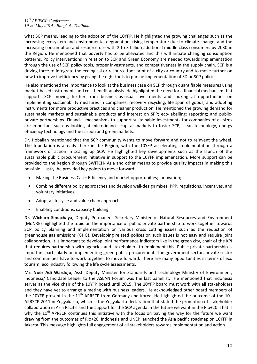what SCP means, leading to the adoption of the 10YFP. He highlighted the growing challenges such as the increasing ecosystem and environmental degradation, rising temperature due to climate change, and the increasing consumption and resource use with 2 to 3 billion additional middle class consumers by 2030 in the Region. He mentioned that poverty has to be alleviated and this will initiate changing consumption patterns. Policy interventions in relation to SCP and Green Economy are needed towards implementation through the use of SCP policy tools, proper investments, and competitiveness in the supply chain. SCP is a driving force to integrate the ecological or resource foot print of a city or country and to move further on how to improve inefficiency by giving the right tools to pursue implementation of SD or SCP policies.

He also mentioned the importance to look at the business case on SCP through quantifiable measures using market-based instruments and cost benefit analysis. He highlighted the need for a financial mechanism that supports SCP moving further from business-as-usual investments and looking at opportunities on implementing sustainability measures in companies, recovery recycling, life span of goods, and adopting instruments for more productive practices and cleaner production. He mentioned the growing demand for sustainable markets and sustainable products and interest on SPP; eco-labelling; reporting; and publicprivate partnerships. Financial mechanisms to support sustainable investments for companies of all sizes are important such as looking at microfinance, capital markets to foster SCP; clean technology, energy efficiency technology and the carbon and green markets.

Dr. Hoballah mentioned that the SCP community wants to move forward and not to reinvent the wheel. The foundation is already there in the Region, with the 10YFP accelerating implementation through a framework of action in scaling up SCP. He highlighted key developments such as the launch of the sustainable public procurement initiative in support to the 10YFP implementation. More support can be provided to the Region through SWITCH- Asia and other means to provide quality impacts in making this possible. Lastly, he provided key points to move forward:

- Making the Business Case: Efficiency and market opportunities; innovation;
- Combine different policy approaches and develop well-design mixes: PPP, regulations, incentives, and voluntary initiatives;
- Adopt a life cycle and value chain approach
- Enabling conditions, capacity building

**Dr. Wicharn Simachaya**, Deputy Permanent Secretary Minister of Natural Resources and Environment (MoNRE) highlighted the topic on the importance of public private partnership to work together towards SCP policy planning and implementation on various cross cutting issues such as the reduction of greenhouse gas emissions (GHG). Developing related polices on such issues is not easy and require joint collaboration. It is important to develop joint performance indicators like in the green city, chair of the KPI that requires partnership with agencies and stakeholders to implement this. Public private partnership is important particularly on implementing green public procurement. The government sector, private sector and communities have to work together to move forward. There are many opportunities in terms of eco tourism, eco industry following the life cycle assessments.

**Mr. Noer Adi Wardojo**, Asst. Deputy Minister for Standards and Technology Ministry of Environment, Indonesia/ Candidate Leader to the ASEAN Forum was the last panellist. He mentioned that Indonesia serves as the vice chair of the 10YFP board until 2015. The 10YFP board must work with all stakeholders and they have yet to arrange a meting with business leaders. He acknowledged other board members of the 10YFP present in the 11<sup>th</sup> APRSCP from Germany and Korea. He highlighted the outcome of the 10<sup>th</sup> APRSCP 2011 in Yogyakarta, which is the Yogyakarta declaration that stated the promotion of stakeholder collaboration in Asia Pacific and the support for the SCP agenda in the future we want in the Rio+20. That is why the  $11<sup>th</sup>$  APRSCP continues this initiative with the focus on paving the way for the future we want drawing from the outcomes of Rio+20. Indonesia and UNEP launched the Asia pacific roadmap on 10YFP in Jakarta. This message highlights full engagement of all stakeholders towards implementation and action.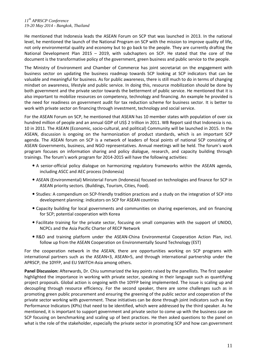He mentioned that Indonesia leads the ASEAN Forum on SCP that was launched in 2013. In the national level, he mentioned the launch of the National Program on SCP with the mission to improve quality of life, not only environmental quality and economy but to go back to the people. They are currently drafting the National Development Plan 2015 – 2019, with subchapters on SCP. He stated that the core of the document is the transformative policy of the government, green business and public service to the people.

The Ministry of Environment and Chamber of Commerce has joint secretariat on the engagement with business sector on updating the business roadmap towards SCP looking at SCP indicators that can be valuable and meaningful for business. As for public awareness, there is still much to do in terms of changing mindset on awareness, lifestyle and public service. In doing this, resource mobilization should be done by both government and the private sector towards the betterment of public service. He mentioned that it is also important to mobilize resources on competency, technology and financing. An example he provided is the need for readiness on government audit for tax reduction scheme for business sector. It is better to work with private sector on financing through investment, technology and social service.

For the ASEAN Forum on SCP, he mentioned that ASEAN has 10 member states with population of over six hundred million of people and an annual GDP of US\$ 2 trillion in 2011. WB Report said that Indonesia is no. 10 in 2011. The ASEAN (Economic, socio-cultural, and political) Community will be launched in 2015. In the ASEAN, discussion is ongoing on the harmonization of product standards, which is an important SCP agenda. The ASEAN forum on SCP is a network of leaders of focal points of national SCP consisting of ASEAN Governments, business, and NGO representatives. Annual meetings will be held. The forum's work program focuses on information sharing and policy dialogue, research, and capacity building through trainings. The forum's work program for 2014-2015 will have the following activities:

- A senior-official policy dialogue on harmonizing regulatory frameworks within the ASEAN agenda, including ASCC and AEC process (Indonesia)
- ASEAN (Environmental) Ministerial Forum (Indonesia) focused on technologies and finance for SCP in ASEAN priority sectors. (Buildings, Tourism, Cities, Food).
- Studies: A compendium on SCP-friendly tradition practices and a study on the integration of SCP into development planning: indicators on SCP for ASEAN countries
- Capacity building for local governments and communities on sharing experiences, and on financing for SCP; potential cooperation with Korea
- Facilitate training for the private sector, focusing on small companies with the support of UNIDO, NCPCs and the Asia Pacific Charter of RECP Network
- R&D and training platform under the ASEAN-China Environmental Cooperation Action Plan, incl. follow up from the ASEAN Cooperation on Environmentally Sound Technology (EST)

For the cooperation network in the ASEAN, there are opportunities working on SCP programs with international partners such as the ASEAN+3, ASEAN+5, and through international partnership under the APRSCP, the 10YFP, and EU SWITCH-Asia among others.

**Panel Discussion:** Afterwards, Dr. Chiu summarized the key points raised by the panellists. The first speaker highlighted the importance in working with private sector, speaking in their language such as quantifying project proposals. Global action is ongoing with the 10YFP being implemented. The issue is scaling up and decoupling through resource efficiency. For the second speaker, there are some challenges such as in promoting green public procurement and ensuring the greening of the public sector and cooperation of the private sector working with government. These initiatives can be done through joint indicators such as Key Performance Indicators (KPIs) that need to be identified, which were addressed by the third speaker. As he mentioned, it is important to support government and private sector to come up with the business case on SCP focusing on benchmarking and scaling up of best practices. He then asked questions to the panel on what is the role of the stakeholder, especially the private sector in promoting SCP and how can government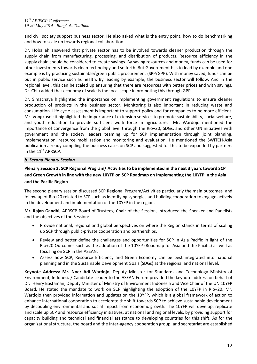and civil society support business sector. He also asked what is the entry point, how to do benchmarking and how to scale up towards regional collaboration.

Dr. Hoballah answered that private sector has to be involved towards cleaner production through the supply chain from manufacturing, processing, and distribution of products. Resource efficiency in the supply chain should be considered to create savings. By saving resources and money, funds can be used for other investments towards clean technology and so forth. But Government has to lead by example and one example is by practicing sustainable/green public procurement (SPP/GPP). With money saved, funds can be put in public service such as health. By leading by example, the business sector will follow. And in the regional level, this can be scaled up ensuring that there are resources with better prices and with savings. Dr. Chiu added that economy of scale is the focal scope in promoting this through GPP.

Dr. Simachaya highlighted the importance on implementing government regulations to ensure cleaner production of products in the business sector. Monitoring is also important in reducing waste and consumption. Life cycle assessment is important to support policy and for companies to be more efficient. Mr. Vongkusolkit highlighted the importance of extension services to promote sustainability, social welfare, and youth education to provide sufficient work force in agriculture. Mr. Wardojo mentioned the importance of convergence from the global level through the Rio+20, SDGs, and other UN initiatives with government and the society leaders teaming up for SCP implementation through joint planning, implementation, resource mobilization and monitoring and evaluation. He mentioned the SWITCH-Asia publication already compiling the business cases on SCP and suggested for this to be expanded by partners in the  $11<sup>th</sup>$  APRSCP.

# *b. Second Plenary Session*

# **Plenary Session 2: SCP Regional Program/ Activities to be implemented in the next 3 years toward SCP and Green Growth in line with the new 10YFP on SCP Roadmap on Implementing the 10YFP in the Asia and the Pacific Region**

The second plenary session discussed SCP Regional Program/Activities particularly the main outcomes and follow up of Rio+20 related to SCP such as identifying synergies and building cooperation to engage actively in the development and implementation of the 10YFP in the region.

**Mr. Rajan Gandhi,** APRSCP Board of Trustees, Chair of the Session, introduced the Speaker and Panelists and the objectives of the Session:

- Provide national, regional and global perspectives on where the Region stands in terms of scaling up SCP through public-private cooperation and partnerships.
- Review and better define the challenges and opportunities for SCP in Asia Pacific in light of the Rio+20 Outcomes such as the adoption of the 10YFP (Roadmap for Asia and the Pacific) as well as focusing on SCP in the ASEAN.
- Assess how SCP, Resource Efficiency and Green Economy can be best integrated into national planning and in the Sustainable Development Goals (SDGs) at the regional and national level.

**Keynote Address: Mr. Noer Adi Wardojo**, Deputy Minister for Standards and Technology Ministry of Environment, Indonesia/ Candidate Leader to the ASEAN Forum provided the keynote address on behalf of Dr. Henry Bastaman, Deputy Minister of Ministry of Environment Indonesia and Vice Chair of the UN 10YFP Board. He stated the mandate to work on SCP highlighting the adoption of the 10YFP in Rio+20. Mr. Wardojo then provided information and updates on the 10YFP, which is a global framework of action to enhance international cooperation to accelerate the shift towards SCP to achieve sustainable development by decoupling environmental and social impact from economic growth. The 10YFP will develop, replicate and scale up SCP and resource efficiency initiatives, at national and regional levels, by providing support for capacity building and technical and financial assistance to developing countries for this shift. As for the organizational structure, the board and the Inter-agency cooperation group, and secretariat are established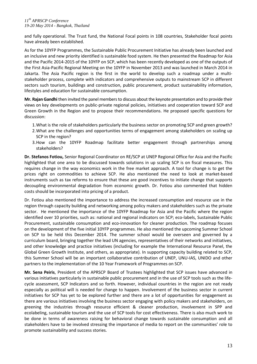and fully operational. The Trust fund, the National Focal points in 108 countries, Stakeholder focal points have already been established.

As for the 10YFP Programmes, the Sustainable Public Procurement Initiative has already been launched and an inclusive and new priority identified is sustainable food system. He then presented the Roadmap for Asia and the Pacific 2014-2015 of the 10YFP on SCP, which has been recently developed as one of the outputs of the First Asia-Pacific Regional Meeting on the 10YFP in November 2013 and was launched in March 2014 in Jakarta. The Asia Pacific region is the first in the world to develop such a roadmap under a multistakeholder process, complete with indicators and comprehensive outputs to mainstream SCP in different sectors such tourism, buildings and construction, public procurement, product sustainability information, lifestyles and education for sustainable consumption.

**Mr. Rajan Gandhi** then invited the panel members to discuss about the keynote presentation and to provide their views on key developments on public-private regional policies, initiatives and cooperation toward SCP and Green Growth in the Region and to propose their recommendations. He proposed specific questions for discussion:

- 1.What is the role of stakeholders particularly the business sector on promoting SCP and green growth?
- 2.What are the challenges and opportunities terms of engagement among stakeholders on scaling up SCP in the region?
- 3.How can the 10YFP Roadmap facilitate better engagement through partnerships among stakeholders?

**Dr. Stefanos Fotiou,** Senior Regional Coordinator on RE/SCP at UNEP Regional Office for Asia and the Pacific highlighted that one area to be discussed towards solutions in up scaling SCP is on fiscal measures. This requires change in the way economics work in the free market approach. A tool for change is to get the prices right on commodities to achieve SCP. He also mentioned the need to look at market-based instruments such as tax reforms to ensure that these are good incentives to initiate change that supports decoupling environmental degradation from economic growth. Dr. Fotiou also commented that hidden costs should be incorporated into pricing of a product.

Dr. Fotiou also mentioned the importance to address the increased consumption and resource use in the region through capacity building and networking among policy makers and stakeholders such as the private sector. He mentioned the importance of the 10YFP Roadmap for Asia and the Pacific where the region identified over 10 priorities, such as: national and regional indicators on SCP; eco-labels, Sustainable Public Procurement, sustainable consumption and eco-innovation for cleaner production. The roadmap focuses on the development of the five initial 10YFP programmes. He also mentioned the upcoming Summer School on SCP to be held this December 2014. The summer school would be overseen and governed by a curriculum board, bringing together the lead UN agencies, representatives of their networks and initiatives, and other knowledge and practice initiatives (including for example the International Resource Panel, the Global Green Growth Institute, and others, as appropriate). In supporting capacity building related to SCP, this Summer School will be an important collaborative contribution of UNEP, UNU-IAS, UNIDO and other partners to the implementation of the 10 Year Framework of Programmes on SCP.

**Mr. Sena Peiris**, President of the APRSCP Board of Trustees highlighted that SCP issues have advanced in various initiatives particularly in sustainable public procurement and in the use of SCP tools such as the lifecycle assessment, SCP Indicators and so forth. However, individual countries in the region are not ready especially as political will is needed for change to happen. Involvement of the business sector in current initiatives for SCP has yet to be explored further and there are a lot of opportunities for engagement as there are various initiatives involving the business sector engaging with policy makers and stakeholders, on greening the industries through resource efficient & cleaner production, involvement in SPP and ecolabeling, sustainable tourism and the use of SCP tools for cost effectiveness. There is also much work to be done in terms of awareness raising for behavioral change towards sustainable consumption and all stakeholders have to be involved stressing the importance of media to report on the communities' role to promote sustainability and success stories.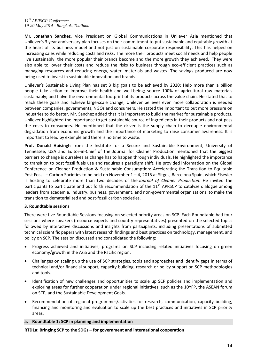**Mr. Jonathan Sanchez**, Vice President on Global Communications in Unilever Asia mentioned that Unilever's 3 year anniversary plan focuses on their commitment to put sustainable and equitable growth at the heart of its business model and not just on sustainable corporate responsibility. This has helped on increasing sales while reducing costs and risks. The more their products meet social needs and help people live sustainably, the more popular their brands become and the more growth they achieved. They were also able to lower their costs and reduce the risks to business through eco-efficient practices such as managing resources and reducing energy, water, materials and wastes. The savings produced are now being used to invest in sustainable innovation and brands.

Unilever's Sustainable Living Plan has set 3 big goals to be achieved by 2020: Help more than a billion people take action to improve their health and well-being; source 100% of agricultural raw materials sustainably; and halve the environmental footprint of its products across the value chain. He stated that to reach these goals and achieve large-scale change, Unilever believes even more collaboration is needed between companies, governments, NGOs and consumers. He stated the important to put more pressure on industries to do better. Mr. Sanchez added that it is important to build the market for sustainable products. Unilever highlighted the importance to get sustainable source of ingredients in their products and not pass the costs to consumers. He mentioned that the driver is the supply chain to decouple environmental degradation from economic growth and the importance of marketing to raise consumer awareness. It is important to lead by example and there is no time to waste.

**Prof. Donald Huisingh** from the Institute for a Secure and Sustainable Environment, University of Tennessee, USA and Editor-in-Chief of the Journal for Cleaner Production mentioned that the biggest barriers to change is ourselves as change has to happen through individuals. He highlighted the importance to transition to post fossil fuels use and requires a paradigm shift. He provided information on the Global Conference on Cleaner Production & Sustainable Consumption: Accelerating the Transition to Equitable Post Fossil – Carbon Societies to be held on November 1 – 4, 2015 at Sitges, Barcelona Spain, which Elsevier is hosting to celebrate more than two decades of the *Journal of Cleaner Production*. He invited the participants to participate and put forth recommendation of the  $11<sup>th</sup>$  APRSCP to catalyze dialogue among leaders from academia, industry, business, government, and non-governmental organizations, to make the transition to dematerialized and post-fossil carbon societies.

#### **3. Roundtable sessions**

There were five Roundtable Sessions focusing on selected priority areas on SCP. Each Roundtable had four sessions where speakers (resource experts and country representatives) presented on the selected topics followed by interactive discussions and insights from participants, including presentations of submitted technical scientific papers with latest research findings and best practices on technology, management, and policy on SCP. The session discussed and consolidated the following:

- Progress achieved and initiatives, programs on SCP including related initiatives focusing on green economy/growth in the Asia and the Pacific region.
- Challenges on scaling up the use of SCP strategies, tools and approaches and identify gaps in terms of technical and/or financial support, capacity building, research or policy support on SCP methodologies and tools.
- Identification of new challenges and opportunities to scale up SCP policies and implementation and exploring areas for further cooperation under regional initiatives, such as the 10YFP, the ASEAN forum on SCP, and the Sustainable Development Goals.
- Recommendation of regional programmes/activities for research, communication, capacity building, financing and monitoring and evaluation to scale up the best practices and initiatives in SCP priority areas.

**a. Roundtable 1: SCP in planning and implementation**

**RTD1a: Bringing SCP to the SDGs – for government and international cooperation**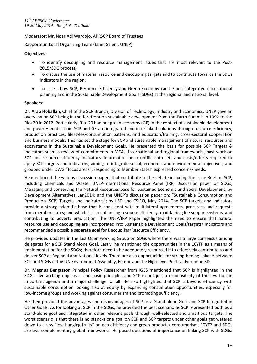Moderator: Mr. Noer Adi Wardojo, APRSCP Board of Trustees

Rapporteur: Local Organizing Team (Janet Salem, UNEP)

## **Objectives**:

- To identify decoupling and resource management issues that are most relevant to the Post-2015/SDG process;
- To discuss the use of material resource and decoupling targets and to contribute towards the SDGs indicators in the region;
- To assess how SCP, Resource Efficiency and Green Economy can be best integrated into national planning and in the Sustainable Development Goals (SDGs) at the regional and national level.

# **Speakers:**

**Dr. Arab Hoballah,** Chief of the SCP Branch, Division of Technology, Industry and Economics, UNEP gave an overview on SCP being in the forefront on sustainable development from the Earth Summit in 1992 to the Rio+20 in 2012. Particularly, Rio+20 had put green economy (GE) in the context of sustainable development and poverty eradication. SCP and GE are integrated and interlinked solutions through resource efficiency, production practices, lifestyles/consumption patterns, and education/training, cross-sectoral cooperation and business models. This has set the stage for SCP and sustainable management of natural resources and ecosystems in the Sustainable Development Goals. He presented the basis for possible SCP Targets & Indicators such as review of commitments in MEAs, international and regional frameworks, past work on SCP and resource efficiency indicators, information on scientific data sets and costs/efforts required to apply SCP targets and indicators, aiming to integrate social, economic and environmental objectives, and grouped under OWG "focus areas", responding to Member States' expressed concerns/needs.

He mentioned the various discussion papers that contribute to the debate including the Issue Brief on SCP, including Chemicals and Waste; UNEP-International Resource Panel (IRP) Discussion paper on SDGs, Managing and conserving the Natural Resources base for Sustained Economic and Social Development, by Development Alternatives, Jan2014; and the UNEP's discussion paper on: "Sustainable Consumption and Production (SCP) Targets and Indicators"; by IISD and CSIRO, May 2014. The SCP targets and indicators provide a strong scientific base that is consistent with multilateral agreements, processes and requests from member states; and which is also enhancing resource efficiency, maintaining life support systems, and contributing to poverty eradication. The UNEP/IRP Paper highlighted the need to ensure that natural resource use and decoupling are incorporated into Sustainable Development Goals/targets/ indicators and recommended a possible separate goal for Decoupling/Resource Efficiency.

He provided updates in the last Open working Group on SDGs where there was a large consensus among delegates for a SCP Stand Alone Goal. Lastly, he mentioned the opportunities in the 10YFP as a means of implementation for the SDGs; therefore need to be adequately resourced if to effectively contribute to and deliver SCP at Regional and National levels. There are also opportunities for strengthening linkage between SCP and SDGs in the UN Environment Assembly, Ecosoc and the High-level Political Forum on SD.

**Dr. Magnus Bengtsson** Principal Policy Researcher from IGES mentioned that SCP is highlighted in the SDGs' overarching objectives and basic principles and SCP in not just a responsibility of the few but an important agenda and a major challenge for all. He also highlighted that SCP is beyond efficiency with sustainable consumption looking also at equity by expanding consumption opportunities, especially for low-income groups and working against consumerism and promoting sufficiency.

He then provided the advantages and disadvantages of SCP as a Stand-alone Goal and SCP Integrated in Other Goals. As for looking at SCP in the SDGs, he provided the best scenario as SCP represented both as a stand-alone goal and integrated in other relevant goals through well-selected and ambitious targets. The worst scenario is that there is no stand-alone goal on SCP and SCP targets under other goals get watered down to a few "low-hanging fruits" on eco-efficiency and green products/ consumerism. 10YFP and SDGs are two complementary global frameworks. He posed questions of importance on linking SCP with SDGs: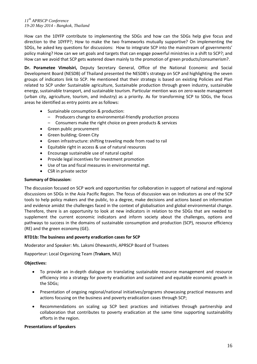How can the 10YFP contribute to implementing the SDGs and how can the SDGs help give focus and direction to the 10YFP?; How to make the two frameworks mutually supportive? On implementing the SDGs, he asked key questions for discussions: How to integrate SCP into the mainstream of governments' policy making? How can we set goals and targets that can engage powerful ministries in a shift to SCP?; and How can we avoid that SCP gets watered down mainly to the promotion of green products/consumerism?.

**Dr. Porametee Vimolsiri,** Deputy Secretary General, Office of the National Economic and Social Development Board (NESDB) of Thailand presented the NESDB's strategy on SCP and highlighting the seven groups of indicators link to SCP. He mentioned that their strategy is based on existing Policies and Plan related to SCP under Sustainable agriculture, Sustainable production through green industry, sustainable energy, sustainable transport, and sustainable tourism. Particular mention was on zero-waste management (urban city, agriculture, tourism, and industry) as a priority. As for transforming SCP to SDGs, the focus areas he identified as entry points are as follows:

- Sustainable consumption & production:
	- Producers change to environmental-friendly production process
	- Consumers make the right choice on green products & services
- Green public procurement
- Green building; Green City
- Green infrastructure: shifting traveling mode from road to rail
- Equitable right in access & use of natural resources
- Encourage sustainable use of natural capital
- Provide legal incentives for investment promotion
- Use of tax and fiscal measures in environmental mgt.
- CSR in private sector

#### **Summary of Discussion:**

The discussion focused on SCP work and opportunities for collaboration in support of national and regional discussions on SDGs in the Asia Pacific Region. The focus of discussion was on Indicators as one of the SCP tools to help policy makers and the public, to a degree, make decisions and actions based on information and evidence amidst the challenges faced in the context of globalisation and global environmental change. Therefore, there is an opportunity to look at new indicators in relation to the SDGs that are needed to supplement the current economic indicators and inform society about the challenges, options and pathways to success in the domains of sustainable consumption and production (SCP), resource efficiency (RE) and the green economy (GE).

#### **RTD1b: The business and poverty eradication cases for SCP**

Moderator and Speaker: Ms. Laksmi Dhewanthi, APRSCP Board of Trustees

Rapporteur: Local Organizing Team (**Trakarn**, MU)

#### **Objectives:**

- To provide an in-depth dialogue on translating sustainable resource management and resource efficiency into a strategy for poverty eradication and sustained and equitable economic growth in the SDGs;
- Presentation of ongoing regional/national initiatives/programs showcasing practical measures and actions focusing on the business and poverty eradication cases through SCP;
- Recommendations on scaling up SCP best practices and initiatives through partnership and collaboration that contributes to poverty eradication at the same time supporting sustainability efforts in the region.

#### **Presentations of Speakers**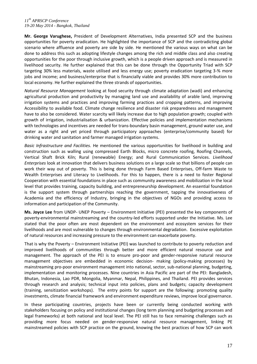**Mr. George Varughese,** President of Development Alternatives, India presented SCP and the business opportunities for poverty eradication. He highlighted the importance of SCP and the contradicting global scenario where affluence and poverty are side by side. He mentioned the various ways on what can be done to address this such as adopting lifestyle changes among the rich and middle class and also creating opportunities for the poor through inclusive growth, which is a people driven approach and is measured in livelihood security. He further explained that this can be done through the Opportunity Triad with SCP targeting 30% less materials, waste utilised and less energy use; poverty eradication targeting 3-% more jobs and income; and business/enterprise that is financially viable and provides 30% more contribution to local economy. He further explained the three strands of opportunities.

*Natural Resource Management* looking at food security through climate adaptation (wadi) and enhancing agricultural production and productivity by managing land use and availability of arable land, improving irrigation systems and practices and improving farming practices and cropping patterns, and improving Accessibility to available food. Climate change resilience and disaster risk preparedness and management have to also be considered. Water scarcity will likely increase due to high population growth; coupled with growth of irrigation, industrialisation & urbanization. Effective policies and implementation mechanisms with technologies and incentives are needed for trans-boundary basin management, ground water use, and water as a right and yet priced through participatory approaches (enterprise/community based) for drinking water and sanitation and farmer managed irrigation systems.

*Basic Infrastructure and Facilities.* He mentioned the various opportunities for livelihood in building and construction such as walling using compressed Earth Blocks, micro concrete roofing, Roofing Channels, Vertical Shaft Brick Kiln; Rural (renewable) Energy; and Rural Communication Services. *Livelihood Enterprises* look at innovation that delivers business solutions on a large scale so that billions of people can work their way out of poverty. This is being done through Farm Based Enterprises, Off-farm Waste to Wealth Enterprises and Literacy to Livelihoods. For this to happen, there is a need to foster Regional Cooperation with essential foundations in place such as community awareness and mobilization in the local level that provides training, capacity building, and entrepreneurship development. An essential foundation is the support system through partnerships reaching the government, tapping the innovativeness of Academia and the efficiency of Industry, bringing in the objectives of NGOs and providing access to information and participation of the Community.

**Ms. Joyce Lee** from UNDP- UNEP Poverty – Environment Initiative (PEI) presented the key components of poverty-environmental mainstreaming and the country-led efforts supported under the Initiative. Ms. Lee stated that the poor often are most dependent on the environment and ecosystem services for their livelihoods and are most vulnerable to changes through environmental degradation. Excessive exploitation of natural resources and increasing pressure to the environment can exacerbate poverty.

That is why the Poverty – Environment Initiative (PEI) was launched to contribute to poverty reduction and improved livelihoods of communities through better and more efficient natural resource use and management. The approach of the PEI is to ensure pro-poor and gender-responsive natural resource management objectives are embedded in economic decision- making (policy-making processes) by mainstreaming pro-poor environment management into national, sector, sub-national planning, budgeting, implementation and monitoring processes. Nine countries in Asia Pacific are part of the PEI: Bangladesh, Bhutan, Indonesia, Lao PDR, Mongolia, Myanmar, Nepal, Philippines, and Thailand. PEI provides services through research and analysis; technical input into policies, plans and budgets; capacity development (training, sensitization workshops). The entry points for support are the following: promoting quality investments, climate financial framework and environment expenditure reviews, improve local governance.

In these participating countries, projects have been or currently being conducted working with stakeholders focusing on policy and institutional changes (long term planning and budgeting processes and legal frameworks) at both national and local level. The PEI still has to face remaining challenges such as providing more focus needed on gender-responsive natural resource management, linking PE mainstreamed policies with SCP practice on the ground, knowing the best practices of how SCP can work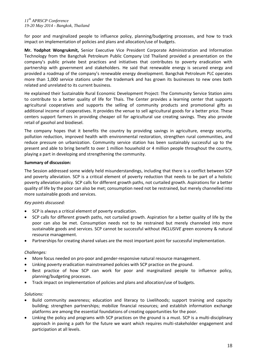for poor and marginalized people to influence policy, planning/budgeting processes, and how to track impact on implementation of policies and plans and allocation/use of budgets.

**Mr. Yodphot Wongrukmit,** Senior Executive Vice President Corporate Administration and Information Technology from the Bangchak Petroleum Public Company Ltd Thailand provided a presentation on the company's public private best practices and initiatives that contributes to poverty eradication with partnership with government and stakeholders. He said that renewable energy is secured energy and provided a roadmap of the company's renewable energy development. Bangchak Petroleum PLC operates more than 1,000 service stations under the trademark and has grown its businesses to new ones both related and unrelated to its current business.

He explained their Sustainable Rural Economic Development Project: The Community Service Station aims to contribute to a better quality of life for Thais. The Center provides a learning center that supports agricultural cooperatives and supports the selling of community products and promotional gifts as additional income of cooperatives. It provides the venue to sell agricultural goods for a better price. These centers support farmers in providing cheaper oil for agricultural use creating savings. They also provide retail of gasohol and biodiesel.

The company hopes that it benefits the country by providing savings in agriculture, energy security, pollution reduction, improved health with environmental restoration, strengthen rural communities, and reduce pressure on urbanization. Community service station has been sustainably successful up to the present and able to bring benefit to over 1 million household or 4 million people throughout the country, playing a part in developing and strengthening the community.

# **Summary of discussion:**

The Session addressed some widely held misunderstandings, including that there is a conflict between SCP and poverty alleviation. SCP is a critical element of poverty reduction that needs to be part of a holistic poverty alleviation policy. SCP calls for different growth paths, not curtailed growth. Aspirations for a better quality of life by the poor can also be met; consumption need not be restrained, but merely channelled into more sustainable goods and services.

# *Key points discussed:*

- SCP is always a critical element of poverty eradication.
- SCP calls for different growth paths, not curtailed growth. Aspiration for a better quality of life by the poor can also be met. Consumption needs not to be restrained but merely channeled into more sustainable goods and services. SCP cannot be successful without *INCLUSIVE* green economy & natural resource management.
- Partnerships for creating shared values are the most important point for successful implementation.

#### *Challenges:*

- More focus needed on pro-poor and gender-responsive natural resource management.
- Linking poverty eradication mainstreamed policies with SCP practice on the ground.
- Best practice of how SCP can work for poor and marginalized people to influence policy, planning/budgeting processes.
- Track impact on implementation of policies and plans and allocation/use of budgets.

#### *Solutions:*

- Build community awareness; education and literacy to Livelihoods; support training and capacity building; strengthen partnerships; mobilize financial resources; and establish information exchange platforms are among the essential foundations of creating opportunities for the poor.
- Linking the policy and programs with SCP practices on the ground is a must. SCP is a multi-disciplinary approach in paving a path for the future we want which requires multi-stakeholder engagement and participation at all levels.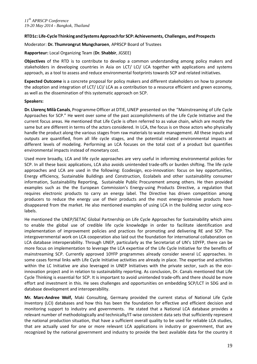## **RTD1c: Life-Cycle Thinking and SystemsApproachfor SCP:Achievements, Challenges, and Prospects**

Moderator: **Dr. Thumrongrut Mungcharoen**, APRSCP Board of Trustees

**Rapporteur:** Local Organizing Team (**Dr. Shabbir**, JGSEE)

**Objectives** of the RTD is to contribute to develop a common understanding among policy makers and stakeholders in developing countries in Asia on LCT/ LCI/ LCA together with applications and systems approach, as a tool to assess and reduce environmental footprints towards SCP and related initiatives.

**Expected Outcome** is a concrete proposal for policy makers and different stakeholders on how to promote the adoption and integration of LCT/ LCI/ LCA as a contribution to a resource efficient and green economy, as well as the dissemination of this systematic approach on SCP.

#### **Speakers:**

**Dr. Llorenç Milà Canals**, Programme Officer at DTIE, UNEP presented on the "Mainstreaming of Life Cycle Approaches for SCP." He went over some of the past accomplishments of the Life Cycle Initiative and the current focus areas. He mentioned that Life Cycle is often referred to as value chain, which are mostly the same but are different in terms of the actors considered. In LCA, the focus is on those actors who physically handle the product along the various stages from raw materials to waste management. All these inputs and outputs are quantified, from all life cycle stages, and the potential related environmental impacts at different levels of modeling. Performing an LCA focuses on the total cost of a product but quantifies environmental impacts instead of monetary cost.

Used more broadly, LCA and life cycle approaches are very useful in informing environmental policies for SCP. In all these basic applications, LCA also avoids unintended trade-offs or burden shifting. The life cycle approaches and LCA are used in the following: Ecodesign, eco-innovation: focus on key opportunities, Energy efficiency, Sustainable Buildings and Construction, Ecolabels and other sustainability consumer information, Sustainability Reporting, Sustainable Public Procurement among others. He then provided examples such as the the European Commission's Energy-using Products Directive, a regulation that requires electronic products to carry an energy label. The Directive has driven competition among producers to reduce the energy use of their products and the most energy-intensive products have disappeared from the market. He also mentioned examples of using LCA in the building sector using ecolabels.

He mentioned the UNEP/SETAC Global Partnership on Life Cycle Approaches for Sustainability which aims to enable the global use of credible life cycle knowledge in order to facilitate identification and implementation of improvement policies and practices for promoting and delivering RE and SCP. The intergovernmental work on LCA cooperation also laid out the foundation for international collaboration on LCA database interoperability. Through UNEP, particularly as the Secretariat of UN's 10YFP, there can be more focus on implementation to leverage the LCA expertise of the Life Cycle Initiative for the benefits of mainstreaming SCP. Currently approved 10YFP programmes already consider several LC approaches. In some cases formal links with Life Cycle Initiative activities are already in place. The expertise and activities within the LC Initiative are also leveraged in UNEP Initiatives with the private sector, such as the ecoinnovation project and in relation to sustainability reporting. As conclusion, Dr. Canals mentioned that Life Cycle Thinking is essential for SCP. It is important to avoid unintended trade-offs and there should be more effort and investment in this. He sees challenges and opportunities on embedding SCP/LCT in SDG and in database development and interoperability.

**Mr. Marc-Andree Wolf,** Maki Consulting, Germany provided the current status of National Life Cycle Inventory (LCI) databases and how this has been the foundation for effective and efficient decision and monitoring support to industry and governments. He stated that a National LCA database provides a relevant number of methodologically and technically/IT-wise consistent data sets that sufficiently represent the national production situation, that have a sufficient overall quality to be used for reliable LCA studies, that are actually used for one or more relevant LCA applications in industry or government, that are recognized by the national government and industry to provide the best available data for the country it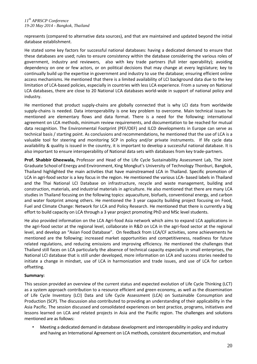represents (compared to alternative data sources), and that are maintained and updated beyond the initial database establishment.

He stated some key factors for successful national databases: having a dedicated demand to ensure that these databases are used; rules to ensure consistency within the database considering the various roles of government, industry and reviewers, also with key trade partners (full inter operability); avoiding dependency on one or few actors, or on political decisions that may change at every legislature; key to continually build up the expertise in government and industry to use the database; ensuring efficient online access mechanisms. He mentioned that there is a limited availability of LCI background data due to the key limitation of LCA-based policies, especially in countries with less LCA experience. From a survey on National LCA databases, there are close to 20 National LCA databases world-wide in support of national policy and industry.

He mentioned that product supply-chains are globally connected that is why LCI data from worldwide supply-chains is needed. Data interoperability is one key problem to overcome. Main technical issues he mentioned are elementary flows and data format. There is a need for the following: international agreement on LCA methods, minimum review requirements, and documentation to be reached for mutual data recognition. The Environmental Footprint (PEF/OEF) and ILCD developments in Europe can serve as technical basis / starting point. As conclusions and recommendations, he mentioned that the use of LCA is a valuable tool for steering and monitoring SCP in policy and/or private instruments. If life cycle data availability & quality is issued in the country, it is important to develop a successful national database. It is also important to ensure interoperability of National data sets with databases from key trade-partners.

**Prof. Shabbir Gheewala,** Professor and Head of the Life Cycle Sustainability Assessment Lab, The Joint Graduate School of Energy and Environment, King Mongkut's University of Technology Thonburi, Bangkok, Thailand highlighted the main activities that have mainstreamed LCA in Thailand. Specific promotion of LCA in agri-food sector is a key focus in the region. He mentioned the various LCA- based labels in Thailand and the Thai National LCI Database on infrastructure, recycle and waste management, building and construction, materials, and industrial materials in agriculture. He also mentioned that there are many LCA studies in Thailand focusing on the following topics: aquaculture, biofuels, conventional energy, and carbon and water footprint among others. He mentioned the 3 year capacity building project focusing on Food, Fuel and Climate Change: Network for LCA and Policy Research. He mentioned that there is currently a big effort to build capacity on LCA through a 3 year project promoting PhD and MSc level students.

He also provided information on the LCA Agri-food Asia network which aims to expand LCA applications in the agri-food sector at the regional level, collaborate in R&D on LCA in the agri-food sector at the regional level, and develop an "Asian Food Database". On feedback from LCA/CF activities, some achievements he mentioned are the following: increased market opportunities and competitiveness, readiness for future related regulations, and reducing emissions and improving efficiency. He mentioned the challenges that Thailand still faces on LCA particularly the absence of technical capacity especially in small enterprises, the National LCI database that is still under developed, more information on LCA and success stories needed to initiate a change in mindset, use of LCA in harmonization and trade issues, and use of LCA for carbon offsetting.

# **Summary:**

This session provided an overview of the current status and expected evolution of Life Cycle Thinking (LCT) as a system approach contribution to a resource efficient and green economy, as well as the dissemination of Life Cycle Inventory (LCI) Data and Life Cycle Assessment (LCA) on Sustainable Consumption and Production (SCP). The discussion also contributed to providing an understanding of their applicability in the Asia Pacific. The session discussed and consolidated experiences on best practice, programs, initiatives and lessons learned on LCA and related projects in Asia and the Pacific region. The challenges and solutions mentioned are as follows:

• Meeting a dedicated demand in database development and interoperability in policy and industry and having an International Agreement on LCA methods, consistent documentation, and mutual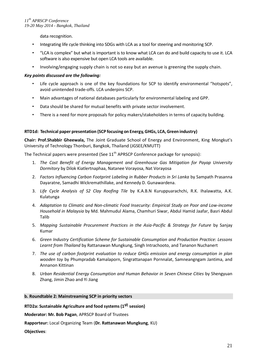data recognition.

- Integrating life cycle thinking into SDGs with LCA as a tool for steering and monitoring SCP.
- "LCA is complex" but what is important is to know what LCA can do and build capacity to use it. LCA software is also expensive but open LCA tools are available.
- Involving/engaging supply chain is not so easy but an avenue is greening the supply chain.

# *Key points discussed are the following:*

- Life cycle approach is one of the key foundations for SCP to identify environmental "hotspots", avoid unintended trade-offs. LCA underpins SCP.
- Main advantages of national databases particularly for environmental labeling and GPP.
- Data should be shared for mutual benefits with private sector involvement.
- There is a need for more proposals for policy makers/stakeholders in terms of capacity building.

# **RTD1d: Technical paper presentation (SCP focusing on Energy,GHGs, LCA,Green industry)**

**Chair: Prof.Shabbir Gheewala,** The Joint Graduate School of Energy and Environment, King Mongkut's University of Technology Thonburi, Bangkok, Thailand (JGSEE/KMUTT)

The Technical papers were presented (See  $11<sup>th</sup>$  APRSCP Conference package for synopsis):

- 1. *The Cost Benefit of Energy Management and Greenhouse Gas Mitigation for Payap University Dormitory* by Dilok Kiatlertnaphaa, Natanee Vorayosa, Nat Vorayosa
- 2. *Factors Influencing Carbon Footprint Labeling in Rubber Products in Sri Lanka* by Sampath Prasanna Dayaratne, Samadhi Wickremathillake, and Kennedy D. Gunawardena.
- 3. *Life Cycle Analysis of S2 Clay Roofing Tile* by K.A.B.N Kuruppuarachchi, R.K. Ihalawatta, A.K. Kulatunga
- 4. *Adaptation to Climatic and Non-climatic Food Insecurity: Empirical Study on Poor and Low-income Household in Malaysia* by Md. Mahmudul Alama, Chamhuri Siwar, Abdul Hamid Jaafar, Basri Abdul Talib
- 5. *Mapping Sustainable Procurement Practices in the Asia-Pacific & Strategy for Future* by Sanjay Kumar
- 6. *Green Industry Certification Scheme for Sustainable Consumption and Production Practice: Lessons Learnt from Thailand* by Rattanawan Mungkung, Singh Intrachooto, and Tananon Nuchanert
- 7. *The use of carbon footprint evaluation to reduce GHGs emission and energy consumption in plan wooden toy* by Phumpradab Kamalaporn, Singrattanapan Pornnalat, Samneangngam Jantima, and Annanon Kittinan
- 8. *Urban Residential Energy Consumption and Human Behavior in Seven Chinese Cities* by Shengyuan Zhang, Jimin Zhao and Yi Jiang

# **b. Roundtable 2: Mainstreaming SCP in priority sectors**

**RTD2a: Sustainable Agriculture and food systems (1st session)**

**Moderator: Mr. Bob Pagan**, APRSCP Board of Trustees

**Rapporteur:** Local Organizing Team (**Dr. Rattanawan Mungkung**, KU)

**Objectives**: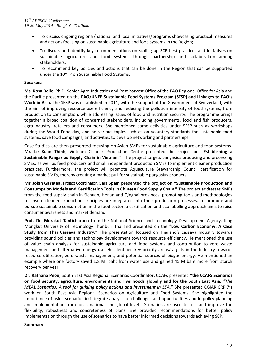- To discuss ongoing regional/national and local initiatives/programs showcasing practical measures and actions focusing on sustainable agriculture and food systems in the Region;
- To discuss and identify key recommendations on scaling up SCP best practices and initiatives on sustainable agriculture and food systems through partnership and collaboration among stakeholders;
- To recommend key policies and actions that can be done in the Region that can be supported under the 10YFP on Sustainable Food Systems.

## **Speakers:**

**Ms. Rosa Rolle**, Ph.D, Senior Agro-Industries and Post-harvest Office of the FAO Regional Office for Asia and the Pacific presented on the **FAO/UNEP Sustainable Food Systems Program (SFSP) and Linkages to FAO's Work in Asia.** The SFSP was established in 2011, with the support of the Government of Switzerland, with the aim of improving resource use efficiency and reducing the pollution intensity of food systems, from production to consumption, while addressing issues of food and nutrition security. The programme brings together a broad coalition of concerned stakeholders, including governments, food and fish producers, agro-industry, retailers and consumers. She mentioned some activities under SFSP such as workshops during the World Food day, and on various topics such as on voluntary standards for sustainable food systems, save food campaigns, and activities to develop networking and partnerships.

Case Studies are then presented focusing on Asian SMEs for sustainable agriculture and food systems. **Mr. Le Xuan Thinh**, Vietnam Cleaner Production Centre presented the Project on **"Establishing a Sustainable Pangasius Supply Chain in Vietnam."** The project targets pangasius producing and processing SMEs, as well as feed producers and small independent production SMEs to implement cleaner production practices. Furthermore, the project will promote Aquaculture Stewardship Council certification for sustainable SMEs, thereby creating a market pull for sustainable pangasius products.

**Mr. Jokin Garatea**, Project Coordinator, Gaia Spain presented the project on **"Sustainable Production and Consumption Models and Certification Toolsin Chinese Food Supply Chain."** The project addresses SMEs from the food supply chain in Sichuan, Henan and Qinghai provinces, promoting tools and methodologies to ensure cleaner production principles are integrated into their production processes. To promote and pursue sustainable consumption in the food sector, a certification and eco-labelling approach aims to raise consumer awareness and market demand.

**Prof. Dr. Morakot Tanticharoen** from the National Science and Technology Development Agency, King Mongkut University of Technology Thonburi Thailand presented on the **"Low Carbon Economy: A Case Study from Thai Cassava Industry."** The presentation focused on Thailand's cassava Industry towards providing sound policies and technology development towards resource efficiency. He mentioned the use of value chain analysis for sustainable agriculture and food systems and contribution to zero waste management and alternative energy use. He identified key priority areas/targets in the Industry towards resource utilization, zero waste management, and potential sources of biogas energy. He mentioned an example where one factory saved 1.8 M. baht from water use and gained 45 M baht more from starch recovery per year.

**Dr. Rathana Peou**, South East Asia Regional Scenarios Coordinator, CCAFs presented **"the CCAFS Scenarios on food security, agriculture, environments and livelihoods globally and for the South East Asia:** *"The MEAL Scenarios, A tool for guiding policy actions and investment in SEA.***"** She presented CGIAR CRP 7's work on South East Asia Regional Scenarios on Agriculture and Food Systems. She highlighted the importance of using scenarios to integrate analysis of challenges and opportunities and in policy planning and implementation from local, national and global level. Scenarios are used to test and improve the flexibility, robustness and concreteness of plans. She provided recommendations for better policy implementation through the use of scenarios to have better informed decisions towards achieving SCP.

#### **Summary**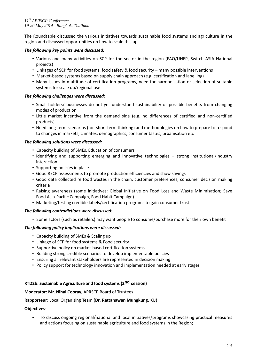The Roundtable discussed the various initiatives towards sustainable food systems and agriculture in the region and discussed opportunities on how to scale this up.

# *The following key points were discussed:*

- Various and many activities on SCP for the sector in the region (FAO/UNEP, Switch ASIA National projects)
- Linkages of SCP for food systems, food safety & food security many possible interventions
- Market-based systems based on supply chain approach (e.g. certification and labelling)
- Many issues in multitude of certification programs, need for harmonisation or selection of suitable systems for scale up/regional use

# *The following challenges were discussed:*

- Small holders/ businesses do not yet understand sustainability or possible benefits from changing modes of production
- Little market incentive from the demand side (e.g. no differences of certified and non-certified products)
- Need long-term scenarios (not short term thinking) and methodologies on how to prepare to respond to changes in markets, climates, demographics, consumer tastes, urbanisation etc

# *The following solutions were discussed:*

- Capacity building of SMEs, Education of consumers
- Identifying and supporting emerging and innovative technologies strong institutional/industry interaction
- Supporting policies in place
- Good RECP assessments to promote production efficiencies and show savings
- Good data collected re food wastes in the chain, customer preferences, consumer decision making criteria
- Raising awareness (some initiatives: Global Initiative on Food Loss and Waste Minimisation; Save Food Asia-Pacific Campaign, Food Habit Campaign)
- Marketing/testing credible labels/certification programs to gain consumer trust

#### *The following contradictions were discussed:*

• Some actors (such as retailers) may want people to consume/purchase more for their own benefit

# *The following policy implications were discussed:*

- Capacity building of SMEs & Scaling up
- Linkage of SCP for food systems & Food security
- Supportive policy on market-based certification systems
- Building strong credible scenarios to develop implementable policies
- Ensuring all relevant stakeholders are represented in decision making
- Policy support for technology innovation and implementation needed at early stages

# **RTD2b: Sustainable Agriculture and food systems (2nd session)**

## **Moderator: Mr. Nihal Cooray**, APRSCP Board of Trustees

#### **Rapporteur:** Local Organizing Team (**Dr. Rattanawan Mungkung**, KU)

# **Objectives**:

 To discuss ongoing regional/national and local initiatives/programs showcasing practical measures and actions focusing on sustainable agriculture and food systems in the Region;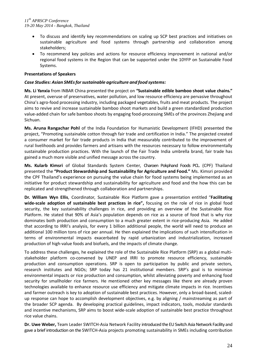- To discuss and identify key recommendations on scaling up SCP best practices and initiatives on sustainable agriculture and food systems through partnership and collaboration among stakeholders;
- To recommend key policies and actions for resource efficiency improvement in national and/or regional food systems in the Region that can be supported under the 10YFP on Sustainable Food Systems.

# **Presentations of Speakers**

# *Case Studies: Asian SMEsforsustainable agriculture and food systems:*

**Ms. Li Yanxia** from INBAR China presented the project on **"Sustainable edible bamboo shoot value chains."** At present, overuse of preservatives, water pollution, and low resource efficiency are pervasive throughout China's agro-food processing industry, including packaged vegetables, fruits and meat products. The project aims to revive and increase sustainable bamboo shoot markets and build a green standardized production value-added chain for safe bamboo shoots by engaging food-processing SMEs of the provinces Zhejiang and Sichuan.

**Ms. Aruna Rangachar Pohl** of the India Foundation for Humanistic Development (IFHD) presented the project, "Promoting sustainable cotton through fair trade and certification in India." The projected created a consumer market for fair trade products in India that measurably contributed to the improvement of rural livelihoods and provides farmers and artisans with the resources necessary to follow environmentally sustainable production practices. With the launch of the Fair Trade India umbrella brand, fair trade has gained a much more visible and unified message across the country.

**Ms. Kularb Kimsri** of Global Standards System Center, Charoen Pokphand Foods PCL. (CPF) Thailand presented the **"Product Stewardship and Sustainability for Agriculture and Food."** Ms. Kimsri provided the CPF Thailand's experience on pursuing the value chain for food systems being implemented as an initiative for product stewardship and sustainability for agriculture and food and the how this can be replicated and strengthened through collaboration and partnerships.

**Dr. William Wyn Ellis**, Coordinator, Sustainable Rice Platform gave a presentation entitled "**Facilitating wide-scale adoption of sustainable best practices in rice",** focusing on the role of rice in global food security, the key sustainability challenges in rice, and providing an overview of the Sustainable Rice Platform. He stated that 90% of Asia's population depends on rice as a source of food that is why rice dominates both production and consumption to a much greater extent in rice-producing Asia. He added that according to IRRI's analysis, for every 1 billion additional people, the world will need to produce an additional 100 million tons of rice per annual. He then explained the implications of such intensification in terms of environmental impacts exacerbated by rapid urbanization and industrialization, increased production of high-value foods and biofuels, and the impacts of climate change.

To address these challenges, he explained the role of the Sustainable Rice Platform (SRP) as a global multistakeholder platform co-convened by UNEP and IRRI to promote resource efficiency, sustainable production and consumption operations. SRP is open to participation by public and private sectors, research institutes and NGOs; SRP today has 21 institutional members. SRP's goal is to minimize environmental impacts or rice production and consumption, whilst alleviating poverty and enhancing food security for smallholder rice farmers. He mentioned other key messages like there are already proven technologies available to enhance resource use efficiency and mitigate climate impacts in rice. Incentives and farmer outreach is key to adoption of sustainable best practices. However, only a broad-based, scaledup response can hope to accomplish development objectives, e.g. by aligning / mainstreaming as part of the broader SCP agenda. By developing practical guidelines, impact indicators, tools, modular standards and incentive mechanisms, SRP aims to boost wide-scale adoption of sustainable best practice throughout rice value chains.

**Dr. Uwe Weber,** Team Leader SWITCH-Asia Network Facility introduced the EU Switch Asia Network Facility and gave a brief introduction on the SWITCH-Asia projects promoting sustainability in SMEs including contribution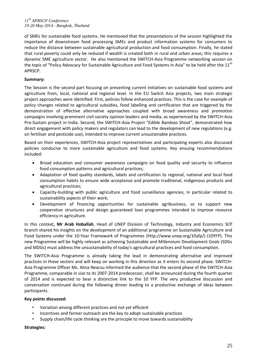of SMEs for sustainable food systems. He mentioned that the presentations of the session highlighted the importance of downstream food processing SMEs and product information systems for consumers to reduce the distance between sustainable agricultural production and food consumption. Finally, he stated that rural poverty could only be reduced if wealth is created both in rural and urban areas; this requires a dynamic SME agriculture sector. He also mentioned the SWITCH-Asia Programme networking session on the topic of "Policy Advocacy for Sustainable Agriculture and Food Systems in Asia" to be held after the 11<sup>th</sup> APRSCP.

# **Summary:**

The Session is the second part focusing on presenting current initiatives on sustainable food systems and agriculture from, local, national and regional level. In the EU Switch Asia projects, two main strategic project approaches were identified. First, policies follow enhanced practices. This is the case for example of policy changes related to agricultural subsidies, food labelling and certification that are triggered by the demonstration of effective alternative approaches coupled with broad awareness and promotion campaigns involving prominent civil society opinion leaders and media, as experienced by the SWITCH-Asia Pro-Sustain project in India. Second, the SWITCH-Asia Project "Edible Bamboo Shoot", demonstrated how direct engagement with policy makers and regulators can lead to the development of new regulations (e.g. on fertiliser and pesticide use), intended to improve current unsustainable practices.

Based on their experiences, SWITCH-Asia project representatives and participating experts also discussed policies conducive to more sustainable agriculture and food systems. Key ensuing recommendations included:

- Broad education and consumer awareness campaigns on food quality and security to influence food consumption patterns and agricultural practices;
- Adaptation of food quality standards, labels and certification to regional, national and local food consumption habits to ensure wide acceptance and promote traditional, indigenous products and agricultural practices;
- Capacity-building with public agriculture and food surveillance agencies, in particular related to sustainability aspects of their work;
- Development of financing opportunities for sustainable agribusiness, so to support new cooperative structures and design guaranteed loan programmes intended to improve resource efficiency in agriculture.

In this context**, Mr Arab Hoballah**, Head of UNEP Division of Technology, Industry and Economics SCP branch shared his insights on the development of an additional programme on Sustainable Agriculture and Food Systems under the 10-Year Framework of Programmes (http://www.unep.org/10yfp/) (10YFP). This new Programme will be highly relevant as achieving Sustainable and Millennium Development Goals (SDGs and MDGs) must address the unsustainability of today's agricultural practices and food consumption.

The SWITCH-Asia Programme is already taking the lead in demonstrating alternative and improved practices in these sectors and will keep on working in this direction as it enters its second phase. SWITCH-Asia Programme Officer Ms. Alina Neacsu informed the audience that the second phase of the SWITCH-Asia Programme, comparable in size to its 2007-2014 predecessor, shall be announced during the fourth quarter of 2014 and is expected to bear a distinctive link to the 10 YFP. The very productive discussion and conversation continued during the following dinner leading to a productive exchange of ideas between participants.

#### **Key points discussed:**

- Variation among different practices and not yet efficient
- Incentives and farmer outreach are the key to adopt sustainable practices
- Supply chain/life cycle thinking are the principle to move towards sustainability

#### **Strategies:**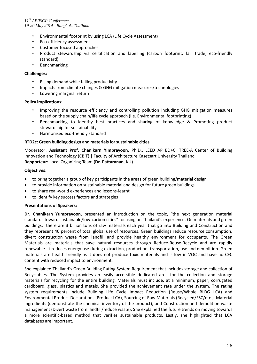- Environmental footprint by using LCA (Life Cycle Assessment)
- Eco-efficiency assessment
- Customer focused approaches
- Product stewardship via certification and labelling (carbon footprint, fair trade, eco-friendly standard)
- Benchmarking

# **Challenges:**

- Rising demand while falling productivity
- Impacts from climate changes & GHG mitigation measures/technologies
- Lowering marginal return

# **Policy implications:**

- Improving the resource efficiency and controlling pollution including GHG mitigation measures based on the supply chain/life cycle approach (i.e. Environmental footprinting)
- Benchmarking to identify best practices and sharing of knowledge & Promoting product stewardship for sustainability
- Harmonised eco-friendly standard

# **RTD2c: Green building design and materialsforsustainable cities**

Moderator: **Assistant Prof. Chanikarn Yimprayoon**, Ph.D., LEED AP BD+C, TREE-A Center of Building Innovation and Technology (CBiT) | Faculty of Architecture Kasetsart University Thailand **Rapporteur:** Local Organizing Team (**Dr. Pattaranan**, KU)

# **Objectives:**

- to bring together a group of key participants in the areas of green building/material design
- to provide information on sustainable material and design for future green buildings
- to share real-world experiences and lessons-learnt
- to identify key success factors and strategies

# **Presentations of Speakers:**

**Dr. Chanikarn Yumprayoon**, presented an introduction on the topic, "the next generation material standards toward sustainable/low-carbon cities" focusing on Thailand's experience. On materials and green buildings, there are 3 billion tons of raw materials each year that go into Building and Construction and they represent 40 percent of total global use of resources. Green buildings reduce resource consumption, divert construction waste from landfill and provide healthy environment for occupants. The Green Materials are materials that save natural resources through Reduce-Reuse-Recycle and are rapidly renewable. It reduces energy use during extraction, production, transportation, use and demolition. Green materials are health friendly as it does not produce toxic materials and is low in VOC and have no CFC content with reduced impact to environment.

She explained Thailand's Green Building Rating System Requirement that includes storage and collection of Recyclables. The System provides an easily accessible dedicated area for the collection and storage materials for recycling for the entire building. Materials must include, at a minimum, paper, corrugated cardboard, glass, plastics and metals. She provided the achievement rate under the system. The rating system requirements include Building Life Cycle Impact Reduction (Reuse/Whole BLDG LCA) and Environmental Product Declarations(Product LCA), Sourcing of Raw Materials (Recycled/FSC/etc.), Material Ingredients (demonstrate the chemical inventory of the product), and Construction and demolition waste management (Divert waste from landfill/reduce waste). She explained the future trends on moving towards a more scientific-based method that verifies sustainable products. Lastly, she highlighted that LCA databases are important.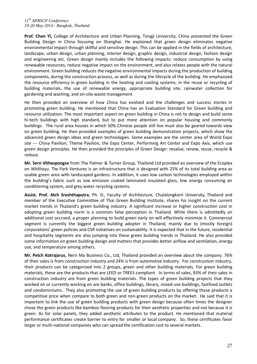**Prof. Chen Yi,** College of Architecture and Urban Planning, Tongji University, China presented the Green Building Design in China focusing on Shanghai. He explained that green design eliminates negative environmental impact through skillful and sensitive design. This can be applied in the fields of architecture, landscape, urban design, urban planning, interior design, graphic design, industrial design, fashion design and engineering etc. Green design mainly includes the following impacts: reduce consumption by using renewable resources, reduce negative impact on the environment, and also relates people with the natural environment. Green building reduces the negative environmental impacts during the production of building components, during the construction process, as well as during the lifecycle of the building. He emphasized the resource efficiency in green building in the heating and cooling systems, in the reuse or recycling of building materials, the use of renewable energy, appropriate building site, rainwater collection for gardening and washing, and on-site waste management.

He then provided an overview of how China has evolved and the challenges and success stories in promoting green building. He mentioned that China has an Evaluation Standard for Green building and resource utilization. The most important aspect on green building in China is not to design and build some hi-tech buildings with high standard, but to put more attention on popular housing and commonly buildings. The rural area houses in which 50% Chinese people still live must also be geared towards view on green building. He then provided examples of green building demonstration projects, which show the advanced green design ideas and green technologies. Some examples are the center area of World Expo site --- China Pavilion, Theme Pavilion, the Expo Center, Performing Art Center and Expo Axis, which use green design principles. He then provided the principles of Green Design: revalue, renew, reuse, recycle & reduce.

**Mr. Sern Vithespongse** from The Palmer & Turner Group, Thailand Ltd provided an overview of the Ecoplex on Witthayu. The Park Ventures is an infrastructure that is designed with 25% of its total building area as usable green area with landscaped gardens. In addition, it uses low carbon technologies employed within the building's fabric such as low emission coated laminated insulated glass, low energy consuming air conditioning system, and grey water recycling systems.

**Assist. Prof. Atch Sreshthaputra**, Ph. D., Faculty of Architecture, Chulalongkorn University, Thailand and member of the Executive Committee of Thai Green Building Institute, shares his insight on the current market trends in Thailand's green building industry. A significant increase or higher construction cost in adopting green building norm is a common false perception in Thailand. While there is admittedly an additional cost accrued, a proper planning to build green early on will effectively minimize it. Commercial segment is currently the biggest green building adopter in Thailand, mainly due to (mostly foreign) corporations' green policies and CSR initiatives on sustainability. It is expected that in the future, residential and hospitality segments are also jumping into these green building trends in Thailand. He also provided some information on green building design and matters that provides better airflow and ventilation, energy use, and temperature among others.

**Mr. Petch Kotrajarus**, Nern Ma Business Co., Ltd, Thailand provided an overview about the company. 76% of their sales is from construction industry and 24% is from automotive industry. For construction industry, their products can be categorized into 2 groups, green and other building materials. For green building materials, these are the products that are LEED or TREES compliant. In terms of sales, 83% of their sales in construction industry are from green building materials. The types of green building projects that they worked on or currently working on are banks, office buildings, library, mixed-use buildings, fastfood outlets and condominiums. They also promoting the use of green building products by offering these products a competitive price when compare to both green and non-green products on the market. He said that it is important to link the use of green building products with green design because often times the designer chose the green products like bamboo flooring products for their aesthetic properties and not because it is green. As for solar panels, they added aesthetic attributes to the product. He mentioned that material performance certificates create barrier to entry for smaller or local company. So, these certificates favor larger or multi-national companies who can spread the certification cost to several markets.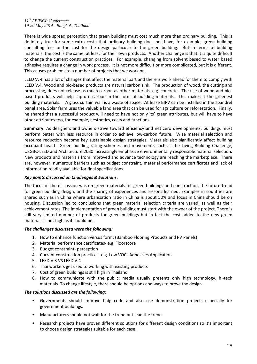There is wide spread perception that green building must cost much more than ordinary building. This is definitely true for some extra costs that ordinary building does not have, for example, green building consulting fees or the cost for the design particular to the green building. But in terms of building materials, the cost is the same, at least for their own products. Another challenge is that it is quite difficult to change the current construction practices. For example, changing from solvent based to water based adhesive requires a change in work process. It is not more difficult or more complicated, but it is different. This causes problems to a number of projects that we work on.

LEED V. 4 has a lot of changes that affect the material part and there is work ahead for them to comply with LEED V.4. Wood and bio-based products are natural carbon sink. The production of wood, the cutting and processing, does not release as much carbon as other materials, e.g. concrete. The use of wood and biobased products will help capture carbon in the form of building materials. This makes it the greenest building materials. A glass curtain wall is a waste of space. At lease BIPV can be installed in the spandrel panel area. Solar farm uses the valuable land area that can be used for agriculture or reforestation. Finally, he shared that a successful product will need to have not only its' green attributes, but will have to have other attributes too, for example, aesthetics, costs and functions.

**Summary:** As designers and owners strive toward efficiency and net zero developments, buildings must perform better with less resource in order to achieve low-carbon future. Wise material selection and resource reduction become key sustainable design strategies. Materials also significantly affect building occupant health. Green building rating schemes and movements such as the Living Building Challenge, USGBC-LEED and Architecture 2030 increasingly emphasize environmentally responsible material selection. New products and materials from improved and advance technology are reaching the marketplace. There are, however, numerous barriers such as budget constraint, material performance certificates and lack of information readily available for final specifications.

# *Key points discussed on Challenges & Solutions:*

The focus of the discussion was on green materials for green buildings and construction, the future trend for green building design, and the sharing of experiences and lessons learned. Examples in countries are shared such as in China where urbanization ratio in China is about 50% and focus in China should be on housing. Discussion led to conclusions that green material selection criteria are varied, as well as their achievement rates. The implementation of green building must start with the owner of the project. There is still very limited number of products for green buildings but in fact the cost added to the new green materials is not high as it should be.

#### *The challenges discussed were the following:*

- 1. How to enhance function versus form: (Bamboo Flooring Products and PV Panels)
- 2. Material performance certificates- e.g. Floorscore
- 3. Budget constraint- perception
- 4. Current construction practices- e.g. Low VOCs Adhesives Application
- 5. LEED V.3 VS LEED V.4
- 6. Thai workers get used to working with existing products
- 7. Cost of green buildings is still high in Thailand
- 8. How to communicate with the public: media usually presents only high technology, hi-tech materials. To change lifestyle, there should be options and ways to prove the design.

#### *The solutions discussed are the following:*

- Governments should improve bldg code and also use demonstration projects especially for government buildings.
- Manufacturers should not wait for the trend but lead the trend.
- Research projects have proven different solutions for different design conditions so it's important to choose design strategies suitable for each case.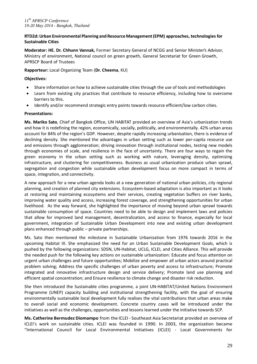# **RTD2d:Urban Environmental Planning and Resource Management(EPM) approaches, technologies for Sustainable Cities**

**Moderator: HE. Dr. Chhunn Vannak,** Former Secretary General of NCGG and Senior Minister's Advisor, Ministry of environment, National council on green growth, General Secretariat for Green Growth, APRSCP Board of Trustees

# **Rapporteur:** Local Organizing Team (**Dr. Cheema**, KU)

## **Objectives:**

- Share information on how to achieve sustainable cities through the use of tools and methodologies
- Learn from existing city practices that contribute to resource efficiency, including how to overcome barriers to this.
- Identify and/or recommend strategic entry points towards resource efficient/low carbon cities.

# **Presentations:**

**Ms. Mariko Sato**, Chief of Bangkok Office, UN HABITAT provided an overview of Asia's urbanization trends and how it is redefining the region, economically, socially, politically, and environmentally. 42% urban areas account for 84% of the region's GDP. However, despite rapidly increasing urbanisation, there is evidence of declining density. She mentioned the advantages in urban setting such as lower per-capita resource use and emissions through agglomeration; driving innovation through institutional nodes, testing new models through economies of scale, and resilience in the face of uncertainty. There are four ways to regain the green economy in the urban setting such as working with nature, leveraging density, optimizing infrastructure, and clustering for competitiveness. Business as usual urbanization produce urban sprawl, segregation and congestion while sustainable urban development focus on more compact in terms of space, integration, and connectivity.

A new approach for a new urban agenda looks at a new generation of national urban policies, city regional planning, and creation of planned city extensions. Ecosystem-based adaptation is also important as it looks at restoring and maintaining ecosystems and their services, creating vegetation buffers on river banks, improving water quality and access, increasing forest coverage, and strengthening opportunities for urban livelihood. As the way forward, she highlighted the importance of moving beyond urban sprawl towards sustainable consumption of space. Countries need to be able to design and implement laws and policies that allow for improved land management, decentralization, and access to finance, especially for local government, integration of Sustainable Urban Development into new and existing urban development plans enhanced through public – private partnerships.

Ms. Sato then mentioned the milestone in Sustainable Urbanization from 1976 towards 2016 in the upcoming Habitat III. She emphasized the need for an Urban Sustainable Development Goals, which is pushed by the following organizations: SDSN, UN-Habitat, UCLG, ICLEI, and Cities Alliance. This will provide the needed push for the following key actions on sustainable urbanization: Educate and focus attention on urgent urban challenges and future opportunities; Mobilize and empower all urban actors around practical problem solving; Address the specific challenges of urban poverty and access to infrastructure; Promote integrated and innovative infrastructure design and service delivery; Promote land use planning and efficient spatial concentration; and Ensure resilience to climate change and disaster risk reduction.

She then introduced the Sustainable cities programme, a joint UN-HABITAT/United Nations Environment Programme (UNEP) capacity building and institutional strengthening facility, with the goal of ensuring environmentally sustainable local development fully realises the vital contributions that urban areas make to overall social and economic development. Concrete country cases will be introduced under the initiatives as well as the challenges, opportunities and lessons learned under the initiative towards SCP.

**Ms. Catherine Bermudez Diomampo** from the ICLEI - Southeast Asia Secretariat provided an overview of ICLEI's work on sustainable cities. ICLEI was founded in 1990. In 2003, the organization became "International Council for Local Environmental Initiatives (ICLEI) - Local Governments for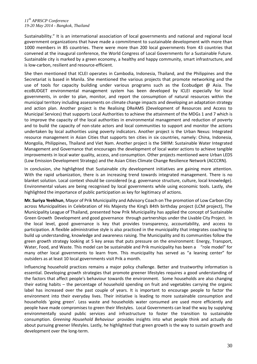Sustainability." It is an international association of local governments and national and regional local government organizations that have made a commitment to sustainable development with more than 1000 members in 85 countries. There were more than 200 local governments from 43 countries that convened at the inaugural conference, the World Congress of Local Governments for a Sustainable Future. Sustainable city is marked by a green economy, a healthy and happy community, smart infrastructure, and is low-carbon, resilient and resource-efficient.

She then mentioned that ICLEI operates in Cambodia, Indonesia, Thailand, and the Philippines and the Secretariat is based in Manila. She mentioned the various projects that promote networking and the use of tools for capacity building under various programs such as the Ecobudget @ Asia. The ecoBUDGET environmental management system has been developed by ICLEI especially for local governments, in order to plan, monitor, and report the consumption of natural resources within the municipal territory including assessments on climate change impacts and developing an adaptation strategy and action plan. Another project is the Realising DReAMS (Development of Resources and Access to Municipal Services) that supports Local Authorities to achieve the attainment of the MDGs 1 and 7 which is to improve the capacity of the local authorities in environmental management and reduction of poverty and to build the capacity of non-state actors and local communities to support and monitor the actions undertaken by local authorities using poverty indicators. Another project is the Urban Nexus: Integrated resource management in Asian Cities that supports ten cities in six countries, namely: China, Indonesia, Mongolia, Philippines, Thailand and Viet Nam. Another project is the SWIM: Sustainable Water Integrated Management and Governance that encourages the development of local water actions to achieve tangible improvements in local water quality, access, and consumption. Other projects mentioned were Urban LEDS (Low Emission Development Strategy) and the Asian Cities Climate Change Resilience Network (ACCCRN).

In conclusion, she highlighted that Sustainable city development initiatives are gaining more attention. With the rapid urbanization, there is an increasing trend towards integrated management. There is no blanket solution. Local context should be considered (e.g. governance structure, culture, local knowledge). Environmental values are being recognised by local governments while using economic tools. Lastly, she highlighted the importance of public participation as key for legitimacy of actions.

**Mr. Suriya Yeekhun**, Mayor of Prik Municipality and Advisory Coach on The promotion of Low Carbon City across Municipalities in Celebration of His Majesty the King's 84th birthday project (LCM project), The Municipality League of Thailand, presented how Prik Municipality has applied the concept of Sustainable Green Growth Development and good governance through partnerships under the Livable City Project*.* In the local level, good governance is key that provides transparency, accountability, and access to participation. A flexible administrative style is also practiced in the municipality that integrates coaching to build up understanding, knowledge and awareness raising. The Municipality and its communities follow the green growth strategy looking at 5 key areas that puts pressure on the environment: Energy, Transport, Water, Food, and Waste. This model can be sustainable and Prik municipality has been a "role model" for many other local governments to learn from. This municipality has served as "a leaning center" for outsiders as at least 10 local governments visit Prik a month.

Influencing household practices remains a major policy challenge. Better and trustworthy information is essential. Developing growth strategies that promote greener lifestyles requires a good understanding of the factors that affect people's behaviour towards the environment. Some households are also changing their eating habits – the percentage of household spending on fruit and vegetables carrying the organic label has increased over the past couple of years. It is important to encourage people to factor the environment into their everyday lives. Their initiative is leading to more sustainable consumption and households 'going green'. Less waste and households water consumed are used more efficiently and people have made compromises to green their lifestyles. Local Governments can lead the way by supplying environmentally sound public services and infrastructure to foster the transition to sustainable consumption. *Greening Household Behaviour* provides insights into what people think and actually do about pursuing greener lifestyles. Lastly, he highlighted that green growth is the way to sustain growth and development over the long-term.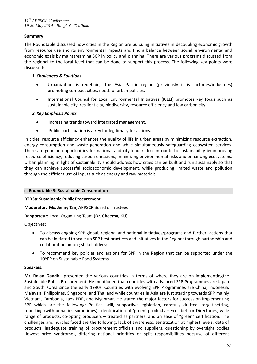# **Summary:**

The Roundtable discussed how cities in the Region are pursuing initiatives in decoupling economic growth from resource use and its environmental impacts and find a balance between social, environmental and economic goals by mainstreaming SCP in policy and planning. There are various programs discussed from the regional to the local level that can be done to support this process. The following key points were discussed:

# *1. Challenges & Solutions*

- Urbanization is redefining the Asia Pacific region (previously it is factories/industries) promoting compact cities, needs of urban policies.
- International Council for Local Environmental Initiatives (ICLEI) promotes key focus such as sustainable city, resilient city, biodiversity, resource efficiency and low carbon city.

# *2. Key Emphasis Points*

- Increasing trends toward integrated management.
- Public participation is a key for legitimacy for actions.

In cities, resource efficiency enhances the quality of life in urban areas by minimizing resource extraction, energy consumption and waste generation and while simultaneously safeguarding ecosystem services. There are genuine opportunities for national and city leaders to contribute to sustainability by improving resource efficiency, reducing carbon emissions, minimizing environmental risks and enhancing ecosystems. Urban planning in light of sustainability should address how cities can be built and run sustainably so that they can achieve successful socioeconomic development, while producing limited waste and pollution through the efficient use of inputs such as energy and raw materials.

#### **c. Roundtable 3: Sustainable Consumption**

**RTD3a: Sustainable Public Procurement**

**Moderator: Ms. Jenny Tan**, APRSCP Board of Trustees

**Rapporteur:** Local Organizing Team (**Dr. Cheema**, KU)

Objectives:

- To discuss ongoing SPP global, regional and national initiatives/programs and further actions that can be initiated to scale up SPP best practices and initiatives in the Region; through partnership and collaboration among stakeholders;
- To recommend key policies and actions for SPP in the Region that can be supported under the 10YFP on Sustainable Food Systems.

#### **Speakers:**

**Mr. Rajan Gandhi**, presented the various countries in terms of where they are on implementingthe Sustainable Public Procurement. He mentioned that countries with advanced SPP Programmes are Japan and South Korea since the early 1990s. Countries with evolving SPP Programmes are China, Indonesia, Malaysia, Philippines, Singapore, and Thailand while countries in Asia are just starting towards SPP mainly Vietnam, Cambodia, Laos PDR, and Myanmar. He stated the major factors for success on implementing SPP which are the following: Political will, supportive legislation, carefully drafted, target-setting, reporting (with penalties sometimes), identification of 'green' products – Ecolabels or Directories, wide range of products, co-opting producers – treated as partners, and an ease of "green" certification. The challenges and hurdles faced are the following: lack of awareness, sensitization at highest levels, data of products, inadequate training of procurement officials and suppliers, questioning by oversight bodies (lowest price syndrome), differing national priorities or split responsibilities because of different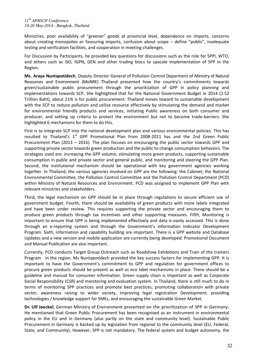Ministries, poor availability of "greener" goods at provincial level, dependence on imports, concerns about creating monopolies or favouring imports, confusion about scope – define "public", inadequate testing and verification facilities, and cooperation in meeting challenges.

For Discussion by Participants, he provided key questions for discussions such as the role for SPPI, WTO, and others such as ISO, IGPN, GEN and other trading blocs to upscale implementation of SPP in the Region.

**Ms. Araya Nuntapotidech**, Deputy Director General of Pollution Control Deparment of Ministry of Natural Resources and Environment (MoNRE) Thailand presented how the country's commitments towards green/sustainable public procurement through the prioritization of GPP in policy planning and implementations towards SCP. She highlighted that for the National Government Budget in 2014 (2.52 Trillion Baht), about 21% is for public procurement. Thailand moves toward to sustainable development with the SCP to reduce pollution and utilize resource effectively by stimulating the demand and market for environmental friendly products and services, initiating Public awareness on both consumer and producer, and setting up criteria to protect the environment but not to become trade-barriers. She highlighted 6 mechanisms for them to do this.

First is to integrate SCP into the national development plan and various environmental policies. This has resulted to Thailand's  $1<sup>st</sup>$  GPP Promotional Plan from 2008-2011 has and the 2nd Green Public Procurement Plan (2013 – 2016). The plan focuses on encouraging the public sector towards GPP and supporting private sector towards green production and the public to change consumption behaviors. The strategies used are: increasing the GPP volume, stimulating more green products, supporting sustainable consumption in public and private sector and general public, and monitoring and steering the GPP Plan. Second, the institutional mechanism should be operational with key government agencies working together. In Thailand, the various agencies involved on GPP are the following: the Cabinet, the National Environmental Committee, the Pollution Control Committee and the Pollution Control Department (PCD) within Ministry of Natural Resources and Environment. PCD was assigned to implement GPP Plan with relevant ministries and stakeholders.

Third, the legal mechanism on GPP should be in place through regulations to secure efficient use of government budget. Fourth, there should be availability of green products with more labels integrated and have been under review. This requires supporting the private sector and encouraging them to produce green products through tax incentives and other supporting measures. Fifth, Monitoring is important to ensure that GPP is being implemented effectively and data is easily accessed. This is done through an e-reporting system and through the Government's information Indicator Development Program. Sixth, information and capability building are important. There is a GPP website and Database Updates and a new version and mobile application are currently being developed. Promotional Document and Manual Publication are also important.

Currently, PCD conducts Target Group Outreach such as Roadshow Exhibitions and Train of the trainers Program in the region. Ms Nuntapotidech provided the key success factors for implementing GPP. It is important to have the Government's commitment to GPP and regulation for government offices to procure green products should be present as well as eco label mechanisms in place. There should be a guideline and manual for consumer information. Green supply chain is important as well as Corporate Social Responsibility (CSR) and monitoring and evaluation system. In Thailand, there is still much to do in terms of monitoring SPP practices and promote best practices, promoting collaboration with private sector, awareness raising to wider society, improving legal registration Development, providing technologies / knowledge support for SMEs, and encouraging the sustainable Green Market.

**Dr. Ulf Jaeckel**, German Ministry of Environment presented on the prioritization of SPP in Germany. He mentioned that Green Public Procurement has been recognised as an instrument in environmental policy in the EU and in Germany (also partly on the state and community level). Sustainable Public Procurement in Germany is backed up by legislation from regional to the community level (EU, Federal, State, and Community). However, SPP is not mandatory. The federal system and budget autonomy, the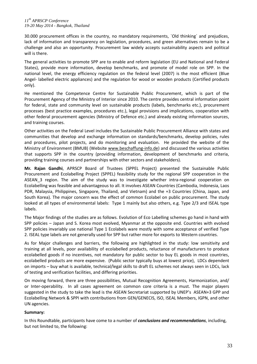30.000 procurement offices in the country, no mandatory requirements, `Old thinking´ and prejudices, lack of information and transparency on legislation, procedures, and green alternatives remain to be a challenge and also an opportunity. Procurement law widely accepts sustainability aspects and political will is there.

The general activities to promote SPP are to enable and reform legislation (EU and National and Federal States), provide more information, develop benchmarks, and promote of model role on SPP. In the national level, the energy efficiency regulation on the federal level (2007) is the most efficient (Blue Angel- labelled electric appliances) and the regulation for wood or wooden products (Certified products only).

He mentioned the Competence Centre for Sustainable Public Procurement, which is part of the Procurement Agency of the Ministry of Interior since 2010. The centre provides central information point for federal, state and community level on sustainable products (labels, benchmarks etc.), procurement processes (best practice examples, procedures etc.), legal provisions and implications, cooperation with other federal procurement agencies (Ministry of Defence etc.) and already existing information sources, and training courses.

Other activities on the Federal Level includes the Sustainable Public Procurement Alliance with states and communities that develop and exchange information on standards/benchmarks, develop policies, rules and procedures, pilot projects, and do monitoring and evaluation. He provided the website of the Ministry of Environment (BMUB) (Website [www.beschaffung-info.de\)](http://www.beschaffung-info.de/) and discussed the various activities that supports SPP in the country (providing information, development of benchmarks and criteria, providing training courses and partnerships with other sectors and stakeholders).

**Mr. Rajan Gandhi**, APRSCP Board of Trustees (SPPEL Project) presented the Sustainable Public Procurement and Ecolabelling Project (SPPEL) feasibility study for the regional SPP cooperation in the ASEAN\_3 region. The aim of the study was to investigate whether intra-regional cooperation on Ecolabelling was feasible and advantageous to all. It involves ASEAN Countries (Cambodia, Indonesia, Laos PDR, Malaysia, Philippines, Singapore, Thailand, and Vietnam) and the +3 Countries (China, Japan, and South Korea). The major concern was the effect of common Ecolabel on public procurement. The study looked at all types of environmental labels: Type 1 mainly but also others, e.g. Type 2/3 and ISEAL type labels.

The Major findings of the studies are as follows. Evolution of Eco Labelling schemes go hand in hand with SPP policies – Japan and S. Korea most evolved, Myanmar at the opposite end. Countries with evolved SPP policies invariably use national Type 1 Ecolabels ware mostly with some acceptance of verified Type 2. ISEAL type labels are not generally used for SPP but rather more for exports to Western countries.

As for Major challenges and barriers, the following are highlighted in the study: low sensitivity and training at all levels, poor availability of ecolabelled products, reluctance of manufacturers to produce ecolabelled goods if no incentives, not mandatory for public sector to buy EL goods in most countries, ecolabelled products are more expensive. (Public sector typically buys at lowest price), LDCs dependent on imports – buy what is available, technical/legal skills to draft EL schemes not always seen in LDCs, lack of testing and verification facilities, and differing priorities.

On moving forward, there are three possibilities, Mutual Recognition Agreements, Harmonization, and/ or Inter-operability. In all cases agreement on common core criteria is a must. The major players suggested in the study to take the lead is the ASEAN Secretariat supported by UNEP's ASEAN+3 GPP and Ecolabelling Network & SPPI with contributions from GEN/GENECIS, ISO, ISEAL Members, IGPN, and other UN agencies.

# **Summary:**

In this Roundtable, participants have come to a number of *conclusions and recommendations*, including, but not limited to, the following: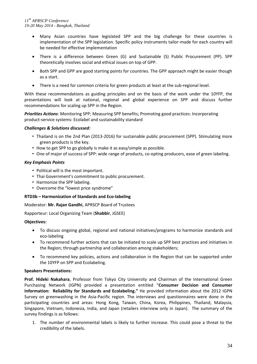- Many Asian countries have legislated SPP and the big challenge for these countries is implementation of the SPP legislation. Specific policy instruments tailor-made for each country will be needed for effective implementation
- There is a difference between Green (G) and Sustainable (S) Public Procurement (PP). SPP theoretically involves social and ethical issues on top of GPP.
- Both SPP and GPP are good starting points for countries. The GPP approach might be easier though as a start.
- There is a need for common criteria for green products at least at the sub-regional level.

With these recommendations as guiding principles and on the basis of the work under the 10YFP, the presentations will look at national, regional and global experience on SPP and discuss further recommendations for scaling up SPP in the Region.

*Priorities Actions*: Monitoring SPP; Measuring SPP benefits; Promoting good practices: Incorporating product-service systems: Ecolabel and sustainability standard

# *Challenges & Solutions discussed:*

- Thailand is on the 2nd Plan (2013-2016) for sustainable public procurement (SPP). Stimulating more green products is the key.
- How to get SPP to go globally is make it as easy/simple as possible.
- One of major of success of SPP: wide range of products, co-opting producers, ease of green labeling.

# *Key Emphasis Points*

- Political will is the most important.
- Thai Government's commitment to public procurement.
- Harmonize the SPP labeling.
- Overcome the "lowest price syndrome"

# **RTD3b – Harmonization of Standards and Eco-labeling**

Moderator: **Mr. Rajan Gandhi**, APRSCP Board of Trustees

Rapporteur: Local Organizing Team (**Shabbir**, JGSEE)

# **Objectives:**

- To discuss ongoing global, regional and national initiatives/programs to harmonize standards and eco-labeling
- To recommend further actions that can be initiated to scale up SPP best practices and initiatives in the Region; through partnership and collaboration among stakeholders;
- To recommend key policies, actions and collaboration in the Region that can be supported under the 10YFP on SPP and Ecolabeling.

# **Speakers Presentations:**

**Prof. Hideki Nakahara**, Professor from Tokyo City University and Chairman of the International Green Purchasing Network (IGPN) provided a presentation entitled "**Consumer Decision and Consumer Information: Reliability for Standards and Ecolabeling."** He provided information about the 2012 IGPN Survey on greenwashing in the Asia-Pacific region. The interviews and questionnaires were done in the participating countries and areas: Hong Kong, Taiwan, China, Korea, Philippines, Thailand, Malaysia, Singapore, Vietnam, Indonesia, India, and Japan (retailers interview only in Japan). The summary of the survey findings is as follows:

1. The number of environmental labels is likely to further increase. This could pose a threat to the credibility of the labels.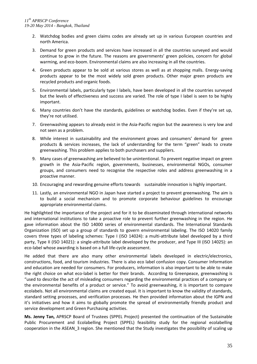- 2. Watchdog bodies and green claims codes are already set up in various European countries and north America.
- 3. Demand for green products and services have increased in all the countries surveyed and would continue to grow in the future. The reasons are governments' green policies, concern for global warming, and eco-boom. Environmental claims are also increasing in all the countries.
- 4. Green products appear to be sold at various stores as well as at shopping malls. Energy-saving products appear to be the most widely sold green products. Other major green products are recycled products and organic foods.
- 5. Environmental labels, particularly type I labels, have been developed in all the countries surveyed but the levels of effectiveness and success are varied. The role of type I label is seen to be highly important.
- 6. Many countries don't have the standards, guidelines or watchdog bodies. Even if they're set up, they're not utilised.
- 7. Greenwashing appears to already exist in the Asia-Pacific region but the awareness is very low and not seen as a problem.
- 8. While interest in sustainability and the environment grows and consumers' demand for green products & services increases, the lack of understanding for the term "green" leads to create greenwashing. This problem applies to both purchasers and suppliers.
- 9. Many cases of greenwashing are believed to be unintentional. To prevent negative impact on green growth in the Asia-Pacific region, governments, businesses, environmental NGOs, consumer groups, and consumers need to recognise the respective roles and address greenwashing in a proactive manner.
- 10. Encouraging and rewarding genuine efforts towards sustainable innovation is highly important.
- 11. Lastly, an environmental NGO in Japan have started a project to prevent greenwashing. The aim is to build a social mechanism and to promote corporate behaviour guidelines to encourage appropriate environmental claims.

He highlighted the importance of the project and for it to be disseminated through international networks and international institutions to take a proactive role to prevent further greenwashing in the region. He gave information about the ISO 14000 series of environmental standards. The International Standards Organization (ISO) set up a group of standards to govern environmental labeling. The ISO 14020 family covers three types of labeling schemes: Type I (ISO 14024): a multi-attribute label developed by a third party, Type II (ISO 14021): a single-attribute label developed by the producer, and Type III (ISO 14025): an eco-label whose awarding is based on a full life-cycle assessment.

He added that there are also many other environmental labels developed in electric/electronics, constructions, food, and tourism industries. There is also eco label confusion copy. Consumer Information and education are needed for consumers. For producers, information is also important to be able to make the right choice on what eco-label is better for their brands. According to Greenpeace, greenwashing is "used to describe the act of misleading consumers regarding the environmental practices of a company or the environmental benefits of a product or service." To avoid greenwashing, it is important to compare ecolabels. Not all environmental claims are created equal. It is important to know the validity of standards, standard setting processes, and verification processes. He then provided information about the IGPN and it's initiatives and how it aims to globally promote the spread of environmentally friendly product and service development and Green Purchasing activities.

**Ms. Jenny Tan,** APRSCP Board of Trustees (SPPEL Project) presented the continuation of the Sustainable Public Procurement and Ecolabelling Project (SPPEL) feasibility study for the regional ecolabelling cooperation in the ASEAN\_3 region. She mentioned that the Study investigates the possibility of scaling up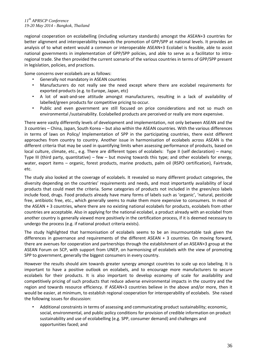regional cooperation on ecolabelling (including voluntary standards) amongst the ASEAN+3 countries for better alignment and interoperability towards the promotion of GPP/SPP at national levels. It provides an analysis of to what extent would a common or interoperable ASEAN+3 Ecolabel is feasible, able to assist national governments in implementation of GPP/SPP policies, and able to serve as a facilitator to intraregional trade. She then provided the current scenario of the various countries in terms of GPP/SPP present in legislation, policies, and practices.

Some concerns over ecolabels are as follows:

- Generally not mandatory in ASEAN countries
- Manufacturers do not really see the need except where there are ecolabel requirements for exported products (e.g. to Europe, Japan, etc)
- A lot of wait-and-see attitude amongst manufacturers, resulting in a lack of availability of labelled/green products for competitive pricing to occur.
- Public and even government are still focused on price considerations and not so much on environmental /sustainability. Ecolabelled products are perceived or really are more expensive.

There were vastly differently levels of development and implementation, not only between ASEAN and the 3 countries – China, Japan, South Korea – but also within the ASEAN countries. With the various differences in terms of laws on Policy/ Implementation of SPP in the participating countries, there exist different approaches from country to country. Another issue in harmonisation of ecolabels across ASEAN is the different criteria that may be used in quantifying limits when assessing performance of products, based on local culture, climate, etc., e.g. There are different types of ecolabels: Type II (self declaration) – many; Type III (third party, quantitative) – few – but moving towards this type; and other ecolabels for energy, water, export items – organic, forest products, marine products, palm oil (RSPO certification), Fairtrade, etc.

The study also looked at the coverage of ecolabels. It revealed so many different product categories, the diversity depending on the countries' requirements and needs, and most importantly availability of local products that could meet the criteria. Some categories of products not included in the green/eco labels include food, drugs. Food products already have many forms of labels such as 'organic', 'natural, pesticide free, antibiotic free, etc., which generally seems to make them more expensive to consumers. In most of the ASEAN + 3 countries, where there are no existing national ecolabels for products, ecolabels from other countries are acceptable. Also in applying for the national ecolabel, a product already with an ecolabel from another country is generally viewed more positively in the certification process, if it is deemed necessary to undergo the process (e.g. if national product criteria exists).

The study highlighted that harmonisation of ecolabels seems to be an insurmountable task given the differences in governance and requirements of the different ASEAN + 3 countries. On moving forward, there are avenues for cooperation and partnerships through the establishment of an ASEAN+3 group at the ASEAN Forum on SCP, with support from UNEP, on harmonising of ecolabels with the view of promoting SPP to government, generally the biggest consumers in every country.

However the results should aim towards greater synergy amongst countries to scale up eco labeling. It is important to have a positive outlook on ecolabels, and to encourage more manufacturers to secure ecolabels for their products. It is also important to develop economy of scale for availability and competitively pricing of such products that reduce adverse environmental impacts in the country and the region and towards resource efficiency. If ASEAN+3 countries believe in the above and/or more, then it would be easier, at minimum, to establish regional cooperation for interoperability of ecolabels. She raised the following issues for discussion:

• Additional constraints in terms of assessing and communicating product sustainability; economic, social, environmental, and public policy conditions for provision of credible information on product sustainability and use of ecolabelling (e.g. SPP, consumer demand) and challenges and opportunities faced; and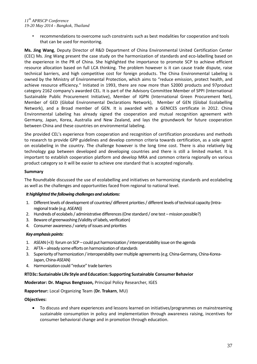• recommendations to overcome such constraints such as best modalities for cooperation and tools that can be used for monitoring.

**Ms. Jing Wang**, Deputy Director of R&D Department of China Environmental United Certification Center (CEC) Ms. Jing Wang present the case study on the harmonization of standards and eco-labelling based on the experience in the PR of China. She highlighted the importance to promote SCP to achieve efficient resource allocation based on full LCA thinking. The problem however is it can cause trade dispute, raise technical barriers, and high competitive cost for foreign products. The China Environmental Labeling is owned by the Ministry of Environmental Protection, which aims to "reduce emission, protect health, and achieve resource efficiency." Initiated in 1993, there are now more than 52000 products and 97product category 2162 company's awarded CEL. It is part of the Advisory Committee Member of SPPI (International Sustainable Public Procurement Initiative), Member of IGPN (International Green Procurement Net), Member of GED (Global Environmental Declarations Network), Member of GEN (Global Ecolabelling Network), and a Broad member of GEN. It is awarded with a GENICES certificate in 2012. China Environmental Labeling has already signed the cooperation and mutual recognition agreement with Germany, Japan, Korea, Australia and New Zealand, and lays the groundwork for future cooperation between China and these countries on environmental labeling.

She provided CEL's experience from cooperation and recognition of certification procedures and methods to research to provide GPP guidelines and develop common criteria towards certification, as a sole agent on ecolabeling in the country. The challenge however is the long time cost. There is also relatively big technology gap between developed and developing countries and there is still a limited market. It is important to establish cooperation platform and develop MRA and common criteria regionally on various product category so it will be easier to achieve one standard that is accepted regionally.

# **Summary**

The Roundtable discussed the use of ecolabelling and initiatives on harmonizing standards and ecolabeling as well as the challenges and opportunities faced from regional to national level.

#### *It highlighted the following challenges and solutions:*

- 1. Different levels of development of countries/ different priorities / different levels of technical capacity (Intraregional trade (e.g. ASEAN))
- 2. Hundreds of ecolabels / administrative differences(One standard / one test –mission possible?)
- 3. Beware of greenwashing (Validity of labels, verification)
- 4. Consumer awareness / variety of issues and priorities

#### *Key emphasis points:*

- 1. ASEAN (+3) forum on SCP could put harmonization / interoperatability issue on the agenda
- 2. AFTA already some efforts on harmonization of standards
- 3. Superiority of harmonization / interoperability over multiple agreements (e.g. China-Germany, China-Korea-Japan, China-ASEAN)
- 4. Harmonization could "reduce" trade barriers

#### **RTD3c: Sustainable Life Style and Education: Supporting Sustainable Consumer Behavior**

**Moderator: Dr. Magnus Bengtsson,** Principal Policy Researcher, IGES

#### **Rapporteur:** Local Organizing Team (**Dr. Trakarn**, MU)

#### **Objectives:**

 To discuss and share experiences and lessons learned on initiatives/programmes on mainstreaming sustainable consumption in policy and implementation through awareness raising, incentives for consumer behavioral change and in promotion through education.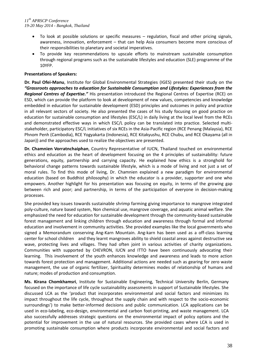- To look at possible solutions or specific measures regulation, fiscal and other pricing signals, awareness, innovation, enforcement – that can help Asia consumers become more conscious of their responsibilities to planetary and societal imperatives.
- To provide key recommendations to upscale efforts to mainstream sustainable consumption through regional programs such as the sustainable lifestyles and education (SLE) programme of the 10YFP.

# **Presentations of Speakers:**

**Dr. Paul Ofei-Manu**, Institute for Global Environmental Strategies (IGES) presented their study on the *"Grassroots approaches to education for Sustainable Consumption and Lifestyles: Experiences from the Regional Centres of Expertise."* His presentation introduced the Regional Centres of Expertise (RCE) on ESD, which can provide the platform to look at development of new values, competencies and knowledge embedded in education for sustainable development (ESD) principles and outcomes in policy and practice in all relevant sectors of society. He also presented the cases of his study focusing on good practice on education for sustainable consumption and lifestyles (ESC/L) in daily living at the local level from the RCEs and demonstrated effective ways in which ESC/L policy can be translated into practice. Selected multistakeholder, participatory ESC/L initiatives of six RCEs in the Asia-Pacific region (RCE Penang (Malaysia), RCE Phnom Penh (Cambodia), RCE Yogyakarta (Indonesia), RCE Kitakyushu, RCE Chubu, and RCE Okayama (all in Japan)) and the approaches used to realize the objectives are presented.

**Dr. Chamnien Vorratnchaiphan**, Country Representative of IUCN, Thailand touched on environmental ethics and education as the heart of development focusing on the 4 principles of sustainability: future generations, equity, partnership and carrying capacity. He explained how ethics is a stronghold for behavioral change patterns towards sustainable lifestyle, which is a mode of living and not just a set of moral rules. To find this mode of living, Dr. Chamnien explained a new paradigm for environmental education (based on Buddhist philosophy) in which the educator is a provider, supporter and one who empowers. Another highlight for his presentation was focusing on equity, in terms of the growing gap between rich and poor; and partnership, in terms of the participation of everyone in decision-making processes.

She provided key issues towards sustainable shrimp farming giving importance to mangrove integrated poly-culture, nature based system, Non chemical use, mangrove coverage, and aquatic animal welfare. She emphasized the need for education for sustainable development through the community-based sustainable forest management and linking children through education and awareness through formal and informal education and involvement in community activities. She provided examples like the local governments who signed a Memorandum conserving Ang-Karn Mountain. Ang-karn has been used as a off-class learning center for school children and they learnt mangroves ability to shield coastal areas against destructive sea wave, protecting lives and villages. They had often joint in various activities of charity organizations. Communities with supported by CHEVRON, IUCN and ITTO have been continuously advocating their learning. This involvement of the youth enhances knowledge and awareness and leads to more action towards forest protection and management. Additional actions are needed such as gearing for zero waste management, the use of organic fertilizer, Spirituality determines modes of relationship of humans and nature; modes of production and consumption.

**Ms. Kirana Chomkhamsri**, Institute for Sustainable Engineering, Technical University Berlin, Germany focused on the importance of life cycle sustainability assessments in support of Sustainable lifestyles. She discussed LCA as the 'product that incorporates environmental and social factors and minimizes its impact throughout the life cycle, throughout the supply chain and with respect to the socio-economic surroundings') to make better-informed decisions and public communication. LCA applications can be used in eco-labeling, eco-design, environmental and carbon foot-printing, and waste management. LCA also successfully addresses strategic questions on the environmental impact of policy options and the potential for improvement in the use of natural resources. She provided cases where LCA is used in promoting sustainable consumption where products incorporate environmental and social factors and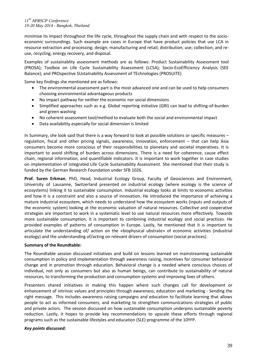minimise its impact throughout the life cycle, throughout the supply chain and with respect to the socioeconomic surroundings. Such example are cases in Europe that have product policies that use LCA in resource extraction and processing; design; manufacturing and retail; distribution; use; collection; and reuse, recycling, energy recovery, and disposal.

Examples of sustainablity assessment methods are as follows: Product Sustainability Assessment tool (PROSA); Toolbox on Life Cycle Sustainability Assessment (LCSA); Socio-EcoEfficiency Analysis (SEE Balance); and PROspective SUstaInability Assessment of TEchnologies (PROSUITE)

Some key findings she mentioned are as follows:

- The environmental assessment part is the most advanced one and can be used to help consumers choosing environmental advantageous products
- No impact pathway for neither the economic nor social dimensions
- Simplified approaches such as e.g. Global reporting initiative (GRI) can lead to shifting-of-burden and green washing
- No coherent assessment tool/method to evaluate both the social and environmental impact
- Data availability especially for social dimension is limited

In Summary, she look said that there is a way forward to look at possible solutions or specific measures – regulation, fiscal and other pricing signals, awareness, innovation, enforcement – that can help Asia consumers become more conscious of their responsibilities to planetary and societal imperatives. It is important to avoid shifting of burden across dimensions. There is a need for coherence, cause effect chain, regional information, and quantifiable indicators. It is important to work together in case studies on implementation of integrated Life Cycle Sustainability Assessment. She mentioned that their study is funded by the German Research Foundation under SFB 1026.

**Prof. Suren Erkman**, PhD, Head, Industrial Ecology Group, Faculty of Geosciences and Environment, University of Lausanne, Switzerland presented on industrial ecology (where ecology is the science of ecosystems) linking it to sustainable consumption. Industrial ecology looks at limits to economic activities and how it is a constraint and also a source of innovation. He introduced the importance of achieving a mature industrial ecosystem, which needs to understand how the ecosystem works (inputs and outputs of the economic system) looking at the economic valuation of natural resources. Collective and cooperative strategies are important to work in a systematic level to use natural resources more effectively. Towards more sustainable consumption, it is important to combining industrial ecology and social practices. He provided examples of patterns of consumption in Europe. Lastly, he mentioned that it is important to articulate the understanding of/ action on the «biophysical ubstrate» of economic activities (industrial ecology) and the understanding of/acting on relevant drivers of consumption (social practices).

#### **Summary of the Roundtable:**

The Roundtable session discussed initiatives and build on lessons learned on mainstreaming sustainable consumption in policy and implementation through awareness raising, incentives for consumer behavioral change and in promotion through education. Behavioral change is a needed where conscious choices of individual, not only as consumers but also as human beings, can contribute to sustainability of natural resources, to transforming the production and consumption systems and improving lives of others.

Presenters shared initiatives in making this happen where such changes call for development or enhancement of intrinsic values and principles through awareness, education and marketing - Sending the right message. This includes awareness raising campaigns and education to facilitate learning that allows people to act as informed consumers, and marketing to strengthen communications strategies of public and private actors. The session discussed on how sustainable consumption underpins sustainable poverty reduction. Lastly, it hopes to provide key recommendations to upscale these efforts through regional programs such as the sustainable lifestyles and education (SLE) programme of the 10YFP.

#### *Key points discussed:*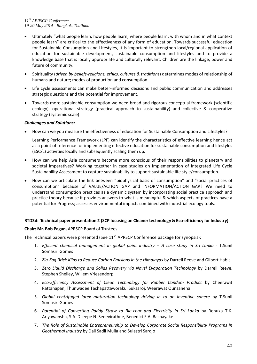- Ultimately "what people learn, how people learn, where people learn, with whom and in what context people learn" are critical to the effectiveness of any form of education. Towards successful education for Sustainable Consumption and Lifestyles, it is important to strengthen local/regional application of education for sustainable development, sustainable consumption and lifestyles and to provide a knowledge base that is locally appropriate and culturally relevant. Children are the linkage, power and future of community.
- Spirituality (*driven by beliefs-religions, ethics, cultures & traditions*) determines modes of relationship of humans and nature; modes of production and consumption
- Life cycle assessments can make better-informed decisions and public communication and addresses strategic questions and the potential for improvement.
- Towards more sustainable consumption we need broad and rigorous conceptual framework (scientific ecology), operational strategy (practical approach to sustainability) and collective & cooperative strategy (systemic scale)

# *Challenges and Solutions:*

How can we you measure the effectiveness of education for Sustainable Consumption and Lifestyles?

Learning Performance Framework (LPF) can identify the characteristics of effective learning hence act as a point of reference for implementing effective education for sustainable consumption and lifestyles (ESC/L) activities locally and subsequently scaling them up.

- How can we help Asia consumers become more conscious of their responsibilities to planetary and societal imperatives? Working together in case studies on implementation of integrated Life Cycle Sustainability Assessment to capture sustainability to support sustainable life style/consumption.
- How can we articulate the link between "biophysical basis of consumption" and "social practices of consumption" because of VALUE/ACTION GAP and INFORMATION/ACTION GAP? We need to understand consumption practices as a dynamic system by incorporating social practice approach and practice theory because it provides answers to what is meaningful & which aspects of practices have a potential for Progress; assesses environmental impacts combined with industrial ecology tools.

# **RTD3d: Technical paper presentation 2 (SCP focusing on Cleaner technology & Eco-efficiency forIndustry)**

# **Chair: Mr. Bob Pagan,** APRSCP Board of Trustees

The Technical papers were presented (See  $11<sup>th</sup>$  APRSCP Conference package for synopsis):

- 1. *Efficient chemical management in global paint industry A case study in Sri Lanka T.Sunil* Somasiri Gomes
- 2. *Zig-Zag Brick Kilns to Reduce Carbon Emisions in the Himalayas* by Darrell Reeve and Gilbert Habla
- 3. *Zero Liquid Discharge and Solids Recovery via Novel Evaporation Technology* by Darrell Reeve, Stephen Shelley, Willem Vriesendorp
- 4. *Eco-Efficiency Assessment of Clean Technology for Rubber Condom Product* by Cheerawit Rattanapan, Thunwadee Tachapattaworakul Suksaroj, Weerawat Ounsaneha
- 5. *Global centrifuged latex maturation technology driving in to an inventive sphere* by T.Sunil Somasiri Gomes
- 6. *Potential of Converting Paddy Straw to Bio-char and Electricity in Sri Lanka* by Renuka T.K. Ariyawansha, S.A. Dileepe N. Senevirathne, Benedict F.A. Basnayake
- 7. *The Role of Sustainable Entrepreneurship to Develop Corporate Social Responsibility Programs in Geothermal Industry* by Dali Sadli Mulia and Sulastri Sardjo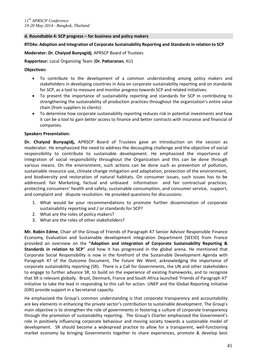#### **d. Roundtable 4: SCP progress – for business and policy makers**

## **RTD4a: Adoption and Integration of Corporate Sustainability Reporting and Standardsin relation to SCP**

## **Moderator: Dr. Chaiyod Bunyagidj**, APRSCP Board of Trustees

**Rapporteur:** Local Organizing Team (**Dr. Pattaranan**, KU)

## **Objectives:**

- To contribute to the development of a common understanding among policy makers and stakeholders in developing countries in Asia on corporate sustainability reporting and on standards for SCP, as a tool to measure and monitor progress towards SCP and related initiatives.
- To present the importance of sustainability reporting and standards for SCP in contributing to strengthening the sustainability of production practices throughout the organization's entire value chain (from suppliers to clients).
- To determine how corporate sustainability reporting reduces risk in potential investments and how it can be a tool to gain better access to finance and better contracts with insurance and financial of companies.

# **Speakers Presentation:**

**Dr. Chaiyod Bunyagidj,** APRSCP Board of Trustees gave an introduction on the session as moderator. He emphasized the need to address the decoupling challenge and the objective of social responsibility to contribute to sustainable development. He emphasized the importance of Integration of social responsibility throughout the Organization and this can be done through various means. On the environment, such actions can be done such as prevention of pollution, sustainable resource use, climate change mitigation and adaptation, protection of the environment, and biodiversity and restoration of natural habitats. On consumer issues, such issues has to be addressed: fair Marketing, factual and unbiased information and fair contractual practices, protecting consumers' health and safety, sustainable consumption, and consumer service, support, and complaint and dispute resolution. He provided questions for discussions:

- 1. What would be your recommendations to promote further dissemination of corporate sustainability reporting and / or standards for SCP?
- 2. What are the roles of policy makers?
- 3. What are the roles of other stakeholders?

**Mr. Robin Edme**, Chair of the Group of Friends of Paragraph 47 Senior Advisor Responsible Finance Economy, Evaluation and Sustainable development integration Department [SEEID] from France provided an overview on the **"Adoption and integration of Corporate Sustainability Reporting & Standards in relation to SCP**" and how it has progressed in the global arena. He mentioned that Corporate Social Responsibility is now in the forefront of the Sustainable Development Agenda with Paragraph 47 of the Outcome Document, *The Future We Want*, acknowledging the importance of corporate sustainability reporting (SR). There is a Call for Governments, the UN and other stakeholders to engage to further advance SR, to build on the experience of existing frameworks, and to recognize that SR is relevant globally. Brazil, Denmark, France and South Africa launched 'Friends of Paragraph 47' initiative to take the lead in responding to this call for action. UNEP and the Global Reporting Initiative (GRI) provide support in a Secretariat capacity.

He emphasized the Group's common understanding is that corporate transparency and accountability are key elements in enhancing the private sector's contribution to sustainable development. The Group's main objective is to strengthen the role of governments in fostering a culture of corporate transparency through the promotion of sustainability reporting. The Group's Charter emphasized the Government's role in positively influencing corporate behaviour and moving society towards a sustainable model of development. SR should become a widespread practice to allow for a transparent, well-functioning market economy by bringing Governments together to share experiences, promote & develop best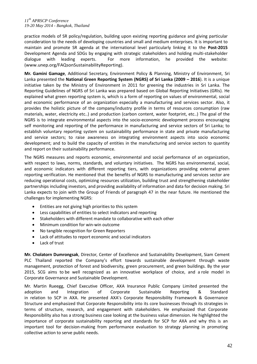practice models of SR policy/regulation, building upon existing reporting guidance and giving particular consideration to the needs of developing countries and small and medium enterprises. It is important to maintain and promote SR agenda at the international level particularly linking it to the **Post-2015**  Development Agenda and SDGs by engaging with strategic stakeholders and holding multi-stakeholder dialogue with leading experts. For more information, he provided the website: (www.unep.org/FAQsonSustainabilityReporting).

**Mr. Gamini Gamage**, Additional Secretary, Environment Policy & Planning, Ministry of Environment, Sri Lanka presented the **National Green Reporting System (NGRS) of Sri Lanka (2009 – 2016**). It is a unique initiative taken by the Ministry of Environment in 2011 for greening the industries in Sri Lanka. The Reporting Guidelines of NGRS of Sri Lanka was prepared based on Global Reporting Initiatives (GRIs). He explained what green reporting system is, which is a form of reporting on values of environmental, social and economic performance of an organization especially a manufacturing and services sector. Also, it provides the holistic picture of the company/industry profile in terms of resources consumption (raw materials, water, electricity etc..) and production (carbon content, water footprint, etc..) The goal of the NGRS is to integrate environmental aspects into the socio-economic development process encouraging self monitoring and reporting of the performance in manufacturing and service sectors of Sri Lanka; to establish voluntary reporting system on sustainability performance in state and private manufacturing and service sectors; to raise awareness on integrating environment aspects into socio economic development; and to build the capacity of entities in the manufacturing and service sectors to quantity and report on their sustainability performance.

The NGRS measures and reports economic, environmental and social performance of an organization, with respect to laws, norms, standards, and voluntary initiatives. The NGRS has environmental, social, and economic indicators with different reporting tiers, with organizations providing external green reporting verification. He mentioned that the benefits of NGRS to manufacturing and services sector are reducing operational costs, optimizing resources utilization, building trust and strengthening stakeholder partnerships including investors, and providing availability of information and data for decision making. Sri Lanka expects to join with the Group of Friends of paragraph 47 in the near future. He mentioned the challenges for implementing NGRS:

- Entities are not giving high priorities to this system
- Less capabilities of entities to select indicators and reporting
- Stakeholders with different mandate to collaborative with each other
- Minimum condition for win-win outcome
- No tangible recognition for Green Reporters
- Lack of attitudes to report economic and social indicators
- Lack of trust

**Mr. Cholatorn Dumrongsak**, Director, Center of Excellence and Sustainability Development, Siam Cement PLC Thailand reported the Company's effort towards sustainable development through waste management, protection of forest and biodiversity, green procurement, and green buildings. By the year 2015, SCG aims to be well recognized as an innovative workplace of choice, and a role model in Corporate Governance and Sustainable Development.

Mr. Martin Rueegg, Chief Executive Officer, AXA Insurance Public Company Limited presented the adoption and Integration of Corporate Sustainable Reporting & Standard in relation to SCP in AXA. He presented AXA's Corporate Responsibility Framework & Governance Structure and emphasized that Corporate Responsibility into its core businesses through its strategies in terms of structure, research, and engagement with stakeholders. He emphasized that Corporate Responsibility also has a strong business case looking at the business value dimension. He highlighted the importance of corporate sustainability reporting and standards for SCP for AXA and why this is an important tool for decision-making from performance evaluation to strategy planning in promoting collective action to serve public needs.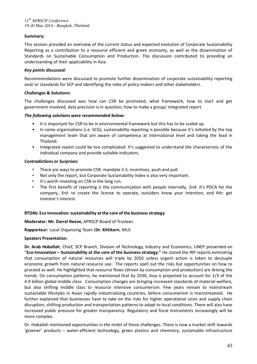# **Summary:**

This session provided an overview of the current status and expected evolution of Corporate Sustainability Reporting as a contribution to a resource efficient and green economy, as well as the dissemination of Standards on Sustainable Consumption and Production. The discussion contributed to providing an understanding of their applicability in Asia.

## *Key points discussed:*

Recommendations were discussed to promote further dissemination of corporate sustainability reporting and/ or standards for SCP and identifying the roles of policy makers and other stakeholders.

# **Challenges & Solutions:**

The challenges discussed was how can CSR be promoted, what framework, how to start and get government involved, data precision is in question, how to make a group/ integrated report.

#### *The following solutions were recommended below:*

- It is important for CSR to be in environmental framework but this has to be scaled up.
- In some organisations (i.e. SCG), sustainability reporting is possible because it's initiated by the top management team that are aware of competency at international level and taking the lead in Thailand.
- Integrated report could be too complicated. It's suggested to understand the characteristic of the individual company and provide suitable indicators.

# *Contradictions or Surprises:*

- There are ways to promote CSR: mandate V.S. incentives, push and pull.
- Not only the report, but Corporate Sustainability Index is also very important.
- It's worth investing on CSR in the long run.
- The first benefit of reporting is the communication with people internally, 2nd: it's PDCA for the company, 3rd: to create the license to operate, outsiders know your intention, and 4th: get investor's interest.

#### **RTD4b: Eco Innovation:sustainability at the core ofthe businessstrategy**

#### **Moderator: Mr. Darrel Reeve,** APRSCP Board of Trustees

#### **Rapporteur:** Local Organizing Team (**Dr. Kittikorn**, MU)

#### **Speakers Presentation:**

**Dr. Arab Hoballah**, Chief, SCP Branch, Division of Technology, Industry and Economics, UNEP presented on "**Eco-Innovation – Sustainability at the core of the business strategy."** He stated the IRP reports estimating that consumption of natural resources will triple by 2050 unless urgent action is taken to decouple economic growth from natural resource use. The reports spell out the risks but opportunities on how to proceed as well. He highlighted that resource flows (driven by consumption and production) are driving the trends. On consumption patterns, he mentioned that by 2030, Asia is projected to account for 2/3 of the 4.9 billion global middle class. Consumption changes are bringing increased standards of material welfare, but also shifting middle class to resource intensive consumerism. Few years remain to mainstream sustainable lifestyles in Asian rapidly industrialising countries, before consumerism is mainstreamed. He further explained that businesses have to take on the risks for higher operational costs and supply chain disruption, shifting production and transportation patterns to adapt to local conditions. There will also have increased public pressure for greater transparency. Regulatory and fiscal instruments increasingly will be more complex.

Dr. Hoballah mentioned opportunities in the midst of these challenges. There is now a market shift towards 'greener' products – water-efficient technology, green plastics and chemistry, sustainable infrastructure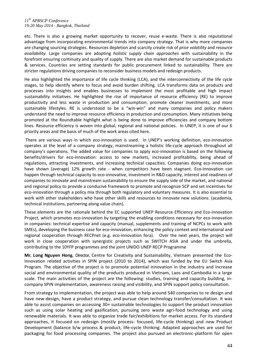etc. There is also a growing market opportunity to recover, reuse e-waste. There is also reputational advantage from incorporating environmental trends into company strategy. That is why more companies are changing sourcing strategies. Resources depletion and scarcity create risk of *price volatility* and *resource availability.* Large companies are adopting *holistic supply chain approaches* with sustainability in the forefront ensuring continuity and quality of supply. There are also market demand for sustainable products & services. Countries are setting standards for public procurement linked to sustainability. There are stricter regulations driving companies to reconsider business models and redesign products.

He also highlighted the importance of life cycle thinking (LCA), and the interconnectivity of the life cycle stages, to help identify where to focus and avoid burden shifting. LCA transforms data on products and processes into insights and enables businesses to implement the most profitable and high impact sustainability initiatives. He highlighted the rise of importance of resource efficiency (RE) to improve productivity and less waste in production and consumption, promote cleaner investments, and more sustainable lifestyles. RE is understood to be a "win-win" and many companies and policy makers understand the need to improve resource efficiency in production and consumption. Many initiatives being promoted at the Roundtable highlight what is being done to improve efficiencies and company bottom lines. Resource efficiency is woven into global, regional and national policies. In UNEP, it is one of our 6 priority areas and the basis of much of the work areas cited here.

There are various ways in which eco-innovation is used. In UNEP's working definition, eco-innovation operates at the level of a company strategy, mainstreaming a holistic life-cycle approach throughout all company's operations. The added value for companies to apply eco-innovation is based on the following benefits/drivers for eco-innovation: access to new markets, increased profitability, being ahead of regulations, attracting investments, and increasing technical capacities. Companies doing eco-innovation have shown (average) 12% growth rate - when competitors have been stagnant. Eco-innovation can happen through technical capacity to eco-innovative, investment in R&D capacity, interest and readiness of companies to innovate and mainstream sustainability to ensure the supply side of the market, and national and regional policy to provide a conducive framework to promote and recognize SCP and set incentives for eco-innovation through a policy mix through both regulatory and voluntary measures. It is also essential to work with other stakeholders who have other skills and resources to innovate new solutions. (academia, technical institutions, partnering along value chain).

These elements are the rationale behind the EC supported UNEP Resource Efficiency and Eco-innovation Project, which promotes eco-innovation by targeting the enabling conditions necessary for eco-innovation in companies: technical expertise and capacity (manual, supplements and training of NCPCs to work with SMEs), developing the business case for eco-innovation, enhancing the policy context and international and regional cooperation through RECPnet (e.g. eco-innovation fora). Over the next years, the project will work in close cooperation with synergistic projects such as SWITCH ASIA and under the umbrella, contributing to the 10YFP programmes and the joint UNIDO UNEP RECP Programme

**Mr. Long Nguyen Hong**, Director, Centre for Creativity and Sustainability, Vietnam presented the Eco-Innovation related activities in SPIN project (2010 to 2014), which was funded by the EU Switch Asia Program. The objective of the project is to promote potential innovation in the industry and increase social and environmental quality of the products produced in Vietnam, Laos and Cambodia in a large scale. The main activities of the project are the following: studies, training and capacity building, incompany SPIN implementation, awareness raising and visibility, and SPIN support policy consultation.

From strategy to implementation, the project was able to help around 540 companies to re design and have new-design, have a product strategy, and pursue clean technology transfer/consultation. It was able to assist companies on accessing 30+ sustainable technologies to support the product innovation such as using solar heating and gasification, pursuing zero waste agri-food technology and using renewable materials. It was able to organize trade fair/exhibitions for market access. For its standard approaches, it focused on redesign (mostly process- focused, life-cycle thinking) and new Product Development (balance b/w process & product, life-cycle thinking. Adapted approaches are used for packaging for food processing companies. The project also pursued an electronic-platform for open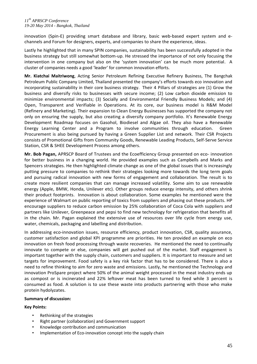innovation (Spin-E) providing smart database and library, basic web-based expert system and echannels and Forum for designers, experts, and companies to share the experience, ideas.

Lastly he highlighted that in many SPIN companies, sustainability has been successfully adopted in the business strategy but still somewhat bottom-up. He stressed the importance of not only focusing the intervention in one company but also on the 'system innovation' can be much more potential. A cluster of companies needs a good 'leader' for common innovation efforts.

**Mr. Kiatchai Maitriwong**, Acting Senior Petroleum Refining Executive Refinery Business, The Bangchak Petroleum Public Company Limited, Thailand presented the company's efforts towards eco innovation and incorporating sustainability in their core business strategy. Their 4 Pillars of strategies are (1) Grow the business and diversify risks to businesses with secure income; (2) Low carbon dioxide emission to minimize environmental impacts; (3) Socially and Environmental Friendly Business Models; and (4) Open, Transparent and Verifiable in Operations. At its core, our business model is R&M Model (Refinery and Marketing). Their expansion to Clean Energy Businesses has supported the company not only on ensuring the supply, but also creating a diversify company portfolio. It's Renewable Energy Development Roadmap focuses on Gasohol, Biodiesel and Algae oil. They also have a Renewable Energy Learning Center and a Program to involve communities through education. Green Procurement is also being pursued by having a Green Supplier List and network. Their CSR Projects consists of Promotional Gifts from Community Goods, Renewable Leading Products, Self-Serve Service Station, CSR & SHEE Development Process among others.

**Mr. Bob Pagan,** APRSCP Board of Trustees and the Ecoefficiency Group presented on eco- innovation for better business in a changing world. He provided examples such as Campbells and Marks and Spencers strategies. He then highlighted climate change as one of the global issues that is increasingly putting pressure to companies to rethink their strategies looking more towards the long term goals and pursuing radical innovation with new forms of engagement and collaboration. The result is to create more resilient companies that can manage increased volatility. Some aim to use renewable energy (Apple, BMW, Honda, Unilever etc). Other groups reduce energy intensity, and others shrink their product footprints. Innovation is about collaboration. Some examples he mentioned were the experience of Walmart on public reporting of toxics from suppliers and phasing out these products. HP encourage suppliers to reduce carbon emission by 25% collaboration of Coca Cola with suppliers and partners like Unilever, Greenpeace and pepsi to find new technology for refrigeration that benefits all in the chain. Mr. Pagan explained the extensive use of resources over life cycle from energy use, water, chemicals, packaging and labelling and distribution.

In addressing eco-innovation issues, resource efficiency, product innovation, CSR, quality assurance, customer satisfaction and global KPI programme are priorities. He ten provided an example on eco innovation on fresh food processing through waste recoveries. He mentioned the need to continually innovate to compete or else, companies will get pushed out of the market. Staff engagement is important together with the supply chain, customers and suppliers. It is important to measure and set targets for improvement. Food safety is a key risk factor that has to be considered. There is also a need to refine thinking to aim for zero waste and emissions. Lastly, he mentioned the Technology and innovation ProSpare project where 50% of the animal weight processed in the meat industry ends up as compost or is incinerated and 22% leftover meat has been turned to feed while 3 percent is consumed as food. A solution is to use these waste into products partnering with those who make protein hydolyzates.

#### **Summary of discussion:**

# **Key Points:**

- Rethinking of the strategies
- Right partner (collaboration) and Government support
- Knowledge contribution and communication
- Implementation of Eco-innovation concept into the supply chain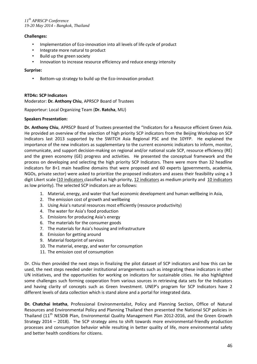# **Challenges:**

- Implementation of Eco-innovation into all levels of life cycle of product
- Integrate more natural to product
- Build up the green society
- Innovation to increase resource efficiency and reduce energy intensity

#### **Surprise:**

• Bottom-up strategy to build up the Eco-innovation product

# **RTD4c: SCP Indicators**

Moderator: **Dr. Anthony Chiu**, APRSCP Board of Trustees

Rapporteur: Local Organizing Team (**Dr. Ratcha**, MU)

#### **Speakers Presentation:**

**Dr. Anthony Chiu**, APRSCP Board of Trustees presented the "Indicators for a Resource efficient Green Asia. He provided an overview of the selection of high priority SCP indicators from the Beijing Workshop on SCP Indicators last 2013 supported by the SWITCH Asia Regional PSC and the 10YFP. He explained the importance of the new indicators as supplementary to the current economic indicators to inform, monitor, communicate, and support decision-making on regional and/or national scale SCP, resource efficiency (RE) and the green economy (GE) progress and activities. He presented the conceptual framework and the process on developing and selecting the high priority SCP Indicators. There were more than 32 headline indicators for 8+1 main headline domains that were proposed and 60 experts (governments, academia, NGOs, private sector) were asked to prioritize the proposed indicators and assess their feasibility using a 3 digit Likert scale (10 indicators classified as high priority, 12 indicators as medium priority and 10 indicators as low priority). The selected SCP indicators are as follows:

- 1. Material, energy, and water that fuel economic development and human wellbeing in Asia,
- 2. The emission cost of growth and wellbeing
- 3. Using Asia's natural resources most efficiently (resource productivity)
- 4. The water for Asia's food production
- 5. Emissions for producing Asia's energy
- 6. The materials for the consumer goods
- 7. The materials for Asia's housing and infrastructure
- 8. Emission for getting around
- 9. Material footprint of services
- 10. The material, energy, and water for consumption
- 11. The emission cost of consumption

Dr. Chiu then provided the next steps in finalizing the pilot dataset of SCP indicators and how this can be used, the next steps needed under institutional arrangements such as integrating these indicators in other UN initiatives, and the opportunities for working on indicators for sustainable cities. He also highlighted some challenges such forming cooperation from various sources in retrieving data sets for the Indicators and having clarity of concepts such as Green Investment. UNEP's program for SCP Indicators have 2 different levels of data collection which is stand alone and a portal for integrated data.

**Dr. Chatchai Intatha**, Professional Environmentalist, Policy and Planning Section, Office of Natural Resources and Environmental Policy and Planning Thailand then presented the National SCP policies in Thailand (11<sup>th</sup> NESDB Plan, Environmental Quality Management Plan 2012-2016, and the Green Growth Strategy 2014 – 2018). The SCP strategy aims to shift towards more environmental-friendly production processes and consumption behavior while resulting in better quality of life, more environmental safety and better health conditions for citizens.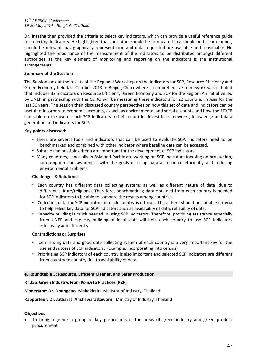**Dr. Intatha** then provided the criteria to select key indicators, which can provide a useful reference guide for selecting indicators. He highlighted that Indicators should be formulated in a simple and clear manner, should be relevant, has graphically representation and data requested are available and reasonable. He highlighted the importance of the measurement of the indicators to be distributed amongst different authorities as the key element of monitoring and reporting on the indicators is the institutional arrangements.

# **Summary of the Session:**

The Session look at the results of the Regional Workshop on the Indicators for SCP, Resource Efficiency and Green Economy held last October 2013 in Beijing China where a comprehensive framework was initiated that includes 32 indicators on Resource Efficiency, Green Economy and SCP for the Region. An initiative led by UNEP in partnership with the CSIRO will be measuring these indicators for 22 countries in Asia for the last 30 years. The session then discussed country perspectives on how this set of data and indicators can be useful to incorporate economic accounts, as well as environmental and social accounts and how the 10YFP can scale up the use of such SCP Indicators to help countries invest in frameworks, knowledge and data generation and indicators for SCP.

# **Key points discussed:**

- There are several tools and indicators that can be used to evaluate SCP. Indicators need to be benchmarked and combined with other indicator where baseline data can be accessed.
- Suitable and possible criteria are important for the development of SCP indicators.
- Many countries, especially in Asia and Pacific are working on SCP indicators focusing on production, consumption and awareness with the goals of using natural resource efficiently and reducing environmental problems.

#### **Challenges & Solutions:**

- Each country has different data collecting systems as well as different nature of data (due to different culture/religions). Therefore, benchmarking data obtained from each country is needed for SCP indicators to be able to compare the results among countries.
- Collecting data for SCP indicators in each country is difficult. Thus, there should be suitable criteria to help select key data for SCP indicators such as availability of data, reliability of data.
- Capacity building is much needed in using SCP indicators. Therefore, providing assistance especially from UNEP and capacity building of local staff will help each country to use SCP indicators effectively and efficiently.

#### **Contradictions or Surprises**

- Centralizing data and good data collecting system of each country is a very important key for the use and success of SCP indicators. (Example: incorporating into census)
- Prioritizing SCP indicators of each country is also important and selected SCP indicators are different from country to country due to availability of data.

#### **e. Roundtable 5: Resource, Efficient Cleaner, and Safer Production**

# **RTD5a: Green Industry, From Policy to Practices(P2P)**

#### **Moderator: Dr. Doungdao Mahakitsiri,** Ministry of Industry, Thailand

#### **Rapporteur: Dr. Jutharat Ahchawarattaworn** , Ministry of Industry, Thailand

#### **Objectives:**

 To bring together a group of key participants in the areas of green industry and green product procurement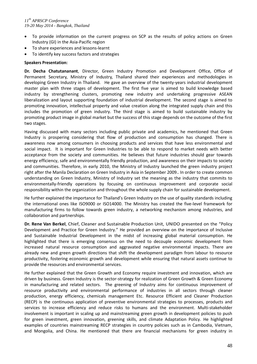- To provide information on the current progress on SCP as the results of policy actions on Green Industry (GI) in the Asia-Pacific region
- To share experiences and lessons-learnt
- To identify key success factors and strategies

# **Speakers Presentation:**

**Dr. Decha Chatutananant**, Director, Green Industry Promotion and Development Office, Office of Permanent Secretary, Ministry of Industry, Thailand shared their experiences and methodologies in developing Green Industry in Thailand. He gave an overview of the twenty-years industrial development master plan with three stages of development. The first five year is aimed to build knowledge based industry by strengthening clusters, promoting new industry and undertaking progressive ASEAN liberalization and layout supporting foundation of industrial development. The second stage is aimed to promoting innovation, intellectual property and value creation along the integrated supply chain and this includes the promotion of green industry. The third stage is aimed to build sustainable industry by promoting product image in global market but the success of this stage depends on the outcome of the first two stages.

Having discussed with many sectors including public private and academics, he mentioned that Green Industry is prospering considering that flow of production and consumption has changed. There is awareness now among consumers in choosing products and services that have less environmental and social impact. It is important for Green Industries to be able to respond to market needs with better acceptance from the society and communities. He believes that future industries should gear towards energy efficiency, safe and environmentally friendly production, and awareness on their impacts to society and communities. Therefore, in early 2010, the Ministry of Industry launched the green industry project right after the Manila Declaration on Green Industry in Asia in September 2009.. In order to create common understanding on Green Industry, Ministry of Industry set the meaning as the industry that commits to environmentally-friendly operations by focusing on continuous improvement and corporate social responsibility within the organization and throughout the whole supply chain for sustainable development.

He further explained the importance for Thailand's Green Industry on the use of quality standards including the international ones like ISO9000 or ISO14000. The Ministry has created the five-level framework for manufacturing firms to follow towards green industry, a networking mechanism among industries, and collaboration and partnerships.

**Dr. Rene Van Berkel**, Chief, Cleaner and Sustainable Production Unit, UNIDO presented on the "Policy Development and Practice for Green Industry." He provided an overview on the importance of Inclusive and Sustainable Industrial Development in the midst of increasing global material consumption. He highlighted that there is emerging consensus on the need to decouple economic development from increased natural resource consumption and aggravated negative environmental impacts. There are already new and green growth directions that shift the development paradigm from labour to resource productivity, fostering economic growth and development while ensuring that natural assets continue to provide the resources and environmental services.

He further explained that the Green Growth and Economy require investment and innovation, which are driven by business. Green Industry is the sector-strategy for realization of Green Growth & Green Economy in manufacturing and related sectors. The greening of Industry aims for continuous improvement of resource productivity and environmental performance of industries in all sectors through cleaner production, energy efficiency, chemicals management Etc. Resource Efficient and Cleaner Production (RECP) is the continuous application of preventive environmental strategies to processes, products and services to increase efficiency and reduce risks to humans and the environment. Multi-stakeholder involvement is important in scaling up and mainstreaming green growth in development policies to push for green investment, green innovation, greening skills, and climate Adaptation Policy. He highlighted examples of countries mainstreaming RECP strategies in country policies such as in Cambodia, Vietnam, and Mongolia, and China. He mentioned that there are financial mechanisms for green industry in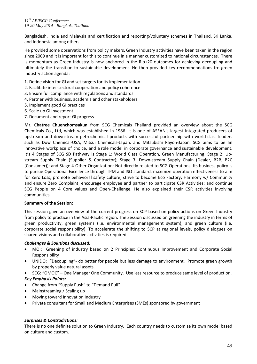Bangladesh, India and Malaysia and certification and reporting/voluntary schemes in Thailand, Sri Lanka, and Indonesia among others.

He provided some observations from policy makers. Green Industry activities have been taken in the region since 2009 and it is important for this to continue in a manner customized to national circumstances. There is momentum as Green Industry is now anchored in the Rio+20 outcomes for achieving decoupling and ultimately the transition to sustainable development. He then provided key recommendations fro green industry action agenda:

- 1. Define vision for GI and set targets for its implementation
- 2. Facilitate inter-sectoral cooperation and policy coherence
- 3. Ensure full compliance with regulations and standards
- 4. Partner with business, academia and other stakeholders
- 5. Implement good GI practices
- 6. Scale up GI investment
- 7. Document and report GI progress

**Mr. Chatree Chuenchomsakun** from SCG Chemicals Thailand provided an overview about the SCG Chemicals Co., Ltd, which was established in 1986. It is one of ASEAN's largest integrated producers of upstream and downstream petrochemical products with successful partnership with world-class leaders such as Dow Chemical-USA, Mitsui Chemicals-Japan, and Mitsubishi Rayon-Japan. SCG aims to be an innovative workplace of choice, and a role model in corporate governance and sustainable development. It's 4 Stages of SCG SD Pathway is Stage 1: World Class Operation, Green Manufacturing; Stage 2: Upstream Supply Chain (Supplier & Contractor); Stage 3: Down-stream Supply Chain (Dealer, B2B, B2C (Consumer)); and Stage 4 Other Organization: Not directly related to SCG Operations. Its business policy is to pursue Operational Excellence through TPM and ISO standard, maximize operation effectiveness to aim for Zero Loss, promote behavioral safety culture, strive to become Eco Factory; Harmony w/ Community and ensure Zero Complaint, encourage employee and partner to participate CSR Activities; and continue SCG People on 4 Core values and Open-Challenge. He also explained their CSR activities involving communities.

#### **Summary of the Session:**

This session gave an overview of the current progress on SCP based on policy actions on Green Industry from policy to practice in the Asia-Pacific region. The Session discussed on greening the industry in terms of green productivity, green systems (i.e. environmental management system), and green culture (i.e. corporate social responsibility). To accelerate the shifting to SCP at regional levels, policy dialogues on shared visions and collaborative activities is required.

#### *Challenges & Solutions discussed:*

- MOI: Greening of industry based on 2 Principles: Continuous Improvement and Corporate Social Responsibility
- UNIDO: "Decoupling"- do better for people but less damage to environment. Promote green growth by properly value natural assets.
- SCG: "OMOC" One Manager One Community. Use less resource to produce same level of production.

#### *Key Emphasis Points:*

- Change from "Supply Push" to "Demand Pull"
- Mainstreaming / Scaling up
- Moving toward Innovation Industry
- Private consultant for Small and Medium Enterprises (SMEs) sponsored by government

#### *Surprises & Contradictions:*

There is no one definite solution to Green Industry. Each country needs to customize its own model based on culture and custom.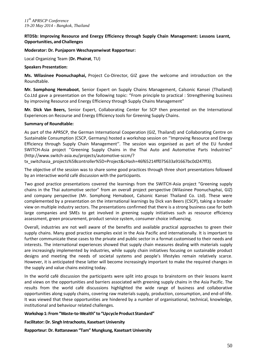# **RTD5b: Improving Resource and Energy Efficiency through Supply Chain Management: Lessons Learnt, Opportunities, and Challenges**

## **Moderator: Dr. Punjaporn Weschayanwiwat Rapporteur:**

Local Organizing Team (**Dr. Phairat**, TU)

#### **Speakers Presentation:**

**Ms. Wilasinee Poonuchaphai,** Project Co-Director, GIZ gave the welcome and introduction on the Roundtable.

**Mr. Somphong Hemaboot**, Senior Expert on Supply Chains Management, Calsonic Kansei (Thailand) Co.Ltd gave a presentation on the following topic: "From principle to practical : Strengthening business by improving Resource and Energy Efficiency through Supply Chains Management"

**Mr. Dick Van Beers,** Senior Expert, Collaborating Center for SCP then presented on the International Experiences on Recourse and Energy Efficiency tools for Greening Supply Chains.

#### **Summary of Roundtable:**

As part of the APRSCP, the German International Cooperation (GIZ, Thailand) and Collaborating Centre on Sustainable Consumption (CSCP, Germany) hosted a workshop session on ''Improving Resource and Energy Efficiency through Supply Chain Management''. The session was organised as part of the EU funded SWITCH-Asia project ''Greening Supply Chains in the Thai Auto and Automotive Parts Industries'' (http://www.switch-asia.eu/projects/automotive-sccm/?

tx\_switchasia\_projects%5Bcontroller%5D=Project&cHash=46f65214ff075633a91667bc0d247ff3).

The objective of the session was to share some good practices through three short presentations followed by an interactive world café discussion with the participants.

Two good practice presentations covered the learnings from the SWITCH-Asia project "Greening supply chains in the Thai automotive sector" from an overall project perspective (Wilasinee Poonuchaphai, GIZ) and company perspective (Mr. Somphong Hemaboot, Calsonic Kansei Thailand Co. Ltd). These were complemented by a presentation on the international learnings by Dick van Beers (CSCP), taking a broader view on multiple industry sectors. The presentations confirmed that there is a strong business case for both large companies and SMEs to get involved in greening supply initiatives such as resource efficiency assessment, green procurement, product service system, consumer choice influencing.

Overall, industries are not well aware of the benefits and available practical approaches to green their supply chains. Many good practice examples exist in the Asia Pacific and internationally. It is important to further communicate these cases to the private and public sector in a format customised to their needs and interests. The international experiences showed that supply chain measures dealing with materials supply are increasingly implemented by industries, while supply chain initiatives focusing on sustainable product designs and meeting the needs of societal systems and people's lifestyles remain relatively scarce. However, it is anticipated these latter will become increasingly important to make the required changes in the supply and value chains existing today.

In the world café discussion the participants were split into groups to brainstorm on their lessons learnt and views on the opportunities and barriers associated with greening supply chains in the Asia Pacific. The results from the world café discussions highlighted the wide range of business and collaborative opportunities along supply chains, covering raw materials supply, production, consumption, and end-of-life. It was viewed that these opportunities are hindered by a number of organisational, technical, knowledge, institutional and behaviour related challenges.

#### **Workshop 1: From"Waste-to-Wealth" to"UpcycleProduct Standard"**

**Facilitator: Dr. Singh Intrachooto, Kasetsart University**

**Rapporteur: Dr. Rattanawan "Tam" Mungkung, Kasetsart University**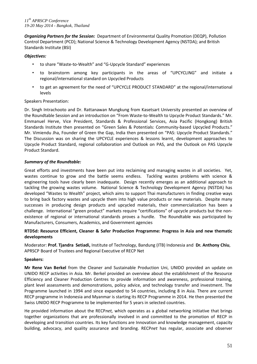*Organizing Partners for the Session:* Department of Environmental Quality Promotion (DEQP), Pollution Control Department (PCD); National Science & Technology Development Agency (NSTDA); and British Standards Institute (BSI)

# *Objectives:*

- to share "Waste-to-Wealth" and "G-Upcycle Standard" experiences
- to brainstorm among key participants in the areas of "UPCYCLING" and initiate a regional/international standard on Upcycled Products
- to get an agreement for the need of "UPCYCLE PRODUCT STANDARD" at the regional/international levels

# Speakers Presentation:

Dr. Singh Intrachooto and Dr. Rattanawan Mungkung from Kasetsart University presented an overview of the Roundtable Session and an introduction on "From Waste-to-Wealth to Upcycle Product Standards." Mr. Emmanuel Herve, Vice President, Standards & Professional Services, Asia Pacific (Hongkong) British Standards Institute then presented on "Green Sales & Potentials: Community-based Upcycled Products." Mr. Vimiendu Jha, Founder of Green the Gap, India then presented on "PAS: Upcycle Product Standards." The Discussion was on sharing the UPCYCLE experiences & lessons learnt, development approaches to Upcycle Product Standard, regional collaboration and Outlook on PAS, and the Outlook on PAS Upcycle Product Standard.

# *Summary of the Roundtable:*

Great efforts and investments have been put into reclaiming and managing wastes in all societies. Yet, wastes continue to grow and the battle seems endless. Tackling wastes problems with science & engineering tools have clearly been inadequate. Design recently emerges as an additional approach to tackling the growing wastes volume. National Science & Technology Development Agency (NSTDA) has developed "Wastes to Wealth" project, which aims to support Thai manufacturers in finding creative ways to bring back factory wastes and upcycle them into high value products or new materials. Despite many successes in producing design products and upcycled materials, their commercialization has been a challenge. International "green product" markets require "certifications" of upcycle products but the nonexistence of regional or international standards proves a hurdle. The Roundtable was participated by Manufacturers, Consumers, Academics, and Government agencies

# **RTD5d: Resource Efficient, Cleaner & Safer Production Programme: Progress in Asia and new thematic developments**

Moderator: **Prof. Tjandra Setiadi,** Institute of Technology, Bandung (ITB) Indonesia and **Dr. Anthony Chiu**, APRSCP Board of Trustees and Regional Executive of RECP Net

#### **Speakers:**

**Mr Rene Van Berkel** from the Cleaner and Sustainable Production Uni, UNIDO provided an update on UNIDO RECP activities in Asia. Mr. Berkel provided an overview about the establishment of the Resource Efficiency and Cleaner Production Centres to provide information and awareness, professional training, plant level assessments and demonstrations, policy advice, and technology transfer and investment. The Programme launched in 1994 and since expanded to 54 countries, including 8 in Asia. There are current RECP programme in Indonesia and Myanmar is starting its RECP Programme in 2014. He then presented the Swiss UNIDO RECP Programme to be implemented for 5 years in selected countries.

He provided information about the RECP*net,* which operates as a global networking initiative that brings together organizations that are professionally involved in and committed to the promotion of RECP in developing and transition countries. Its key functions are Innovation and knowledge management, capacity building, advocacy, and quality assurance and branding. RECP*net* has regular, associate and observer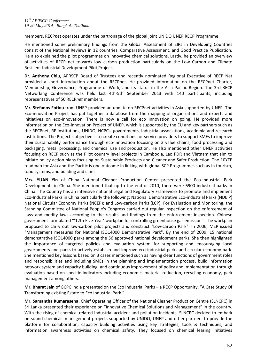members. RECP*net* operates under the partronage of the global joint UNIDO UNEP RECP Programme.

He mentioned some preliminary findings from the Global Assessment of EIPs in Developing Countries consist of the National Reviews in 12 countries, Comparative Assessment, and Good Practice Publication. He also explained the pilot programmes on innovative chemical solutions. Lastly, he provided an overview of activities of RECP net towards low carbon production particularly on the Low Carbon and Climate Resilient Industrial Development Pilot Project.

**Dr. Anthony Chiu**, APRSCP Board of Trustees and recently nominated Regional Executive of RECP Net provided a short introduction about the RECPnet. He provided information on the RECPnet Charter, Membership, Governance, Programme of Work, and its status in the Asia Pacific Region. The 3rd RECP Networking Conference was held last 4th-5th September 2013 with 140 participants, including representatives of 50 RECP*net* members.

**Mr. Stefanos Fotiou** from UNEP provided an update on RECPnet activities in Asia supported by UNEP. The Eco-innovation Project has put together a database from the mapping of organizations and experts and initiatives on eco-innovation. There is now a call for eco innovation on going. He provided more information on the Eco-innovation Project of UNEP, which is supported by the EU and key partners such as the RECPnet, RE institutions, UNIDO, NCPCs, governments, industrial associations, academia and research institutions. The Project's objective is to create conditions for service providers to support SMEs to improve their sustainability performance through eco-innovation focusing on 3 value chains, food processing and packaging, metal processing, and chemical use and production. He also mentioned other UNEP activities focusing on RECP such as the Pilot country level projects in Cambodia, Lao PDR and Vietnam that aim to initiate policy action plans focusing on Sustainable Products and Cleaner and Safer Production. The 10YFP roadmap for Asia and the Pacific is one outcome in linking with global SCP Programmes such as in tourism, food systems, and building and cities.

**Mrs. YUAN Yin** of China National Cleaner Production Center presented the Eco-Industrial Park Developments in China. She mentioned that up to the end of 2010, there were 6900 industrial parks in China. The Country has an intensive national Legal and Regulatory Framework to promote and implement Eco-Industrial Parks in China particularly the following: National Demonstrative Eco-industrial Parks (NDEIP) National Circular Economy Parks (NCEP); and Low-carbon Parks (LCP). For Evaluation and Monitoring, the Standing Committee of National People's Congress carried out regular inspection on the enforcement of laws and modify laws according to the results and findings from the enforcement inspection. Chinese government formulated "'12th Five-Year' workplan for controlling greenhouse gas emission". The workplan proposed to carry out low-carbon pilot projects and construct "Low-carbon Park". In 2006, MEP issued "Management measures for National ISO14000 Demonstrative Park". By the end of 2009, 15 national demonstrative ISO14000 parks among the 56 approved national development parks. She then highlighted the importance of targeted policies and evaluation system for supporting and encouraging local governments and parks to actively establish and improve eco-industrial parks and circular economy park. She mentioned key lessons based on 3 cases mentioned such as having clear functions of government roles and responsibilities and including SMEs in the planning and implementation process, build information network system and capacity building, and continuous improvement of policy and implementation through evaluation based on specific indicators including economic, material reduction, recycling economy, park management among others.

**Mr. Bharat Jain** of GCPC India presented on the Eco Industrial Parks – a RECP Opportunity, "A Case Study Of Transforming existing Estate to Eco Industrial Park."

**Mr. Samantha Kumarasena,** Chief Operating Officer of the National Cleaner Production Centre (SLNCPC) in Sri Lanka presented their experience on "Innovative Chemical Solutions and Management" in the country. With the rising of chemical related industrial accident and pollution incidents, SLNCPC decided to embark on sound chemicals management projects supported by UNIDO, UNEP and other partners to provide the platform for collaboration, capacity building activities using key strategies, tools & techniques, and information awareness activities on chemical safety. They focused on chemical leasing initiatives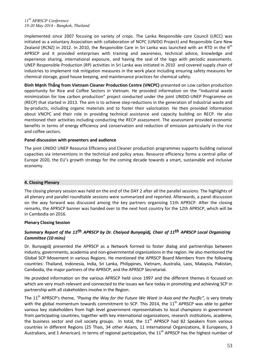implemented since 2007 focusing on variety of crops. The Lanka Responsible care Council (LRCC) was initiated as a voluntary Association with collaboration of NCPC (UNIDO Project) and Responsible Care New Zealand (RCNZ) in 2012. In 2010, the Responsible Care in Sri Lanka was launched with an RTD in the  $9<sup>th</sup>$ APRSCP and it provided enterprises with training and awareness, technical advice, knowledge and experience sharing, international exposure, and having the seal of the logo with periodic assessments. UNEP Responsible Production (RP) activities in Sri Lanka was initiated in 2010 and covered supply chain of industries to implement risk mitigation measures in the work place including ensuring safety measures for chemical storage, good house keeping, and maintenance practices for chemical safety.

**Đinh Mạnh Thắng from Vietnam Cleaner Production Centre (VNCPC)** presented on Low carbon production opportunity for Rice and Coffee Sectors in Vietnam. He provided information on the "Industrial waste minimization for low carbon production" project conducted under the joint UNIDO-UNEP Programme on (RECP) that started in 2013. The aim is to achieve step-reductions in the generation of industrial waste and by-products, including organic materials and to foster their valorization. He then provided information about VNCPC and their role in providing technical assistance and capacity building on RECP. He also mentioned their activities including conducting the RECP assessment. The assessment provided economic benefits in terms of energy efficiency and conservation and reduction of emission particularly in the rice and coffee sectors.

# **Panel discussion with presenters and audience**

The joint UNIDO UNEP Resource Efficiency and Cleaner production programmes supports building national capacities via interventions in the technical and policy areas. Resource efficiency forms a central pillar of Europe 2020, the EU's growth strategy for the coming decade towards a smart, sustainable and inclusive economy.

## **4. Closing Plenary**

The closing plenary session was held on the end of the DAY 2 after all the parallel sessions. The highlights of all plenary and parallel roundtable sessions were summarized and reported. Afterwards, a panel discussion on the way forward was discussed among the key partners organizing 11th APRSCP. After the closing remarks, the APRSCP banner was handed over to the next host country for the 12th APRSCP, which will be in Cambodia on 2016.

# **Plenary Closing Session**

# *Summary Report of the 11th APRSCP by Dr. Chaiyod Bunyagidj, Chair of 11th APRSCP Local Organizing Committee (10 mins)*

Dr. Bunyagidj presented the APRSCP as a Network formed to foster dialog and partnerships between industry, governments, academia and non-governmental organizations in the region. He also mentioned the Global SCP Movement in various Regions. He mentioned the APRSCP Board Members from the following countries: Thailand, Indonesia, India, Sri Lanka, Philippines, Vietnam, Australia, Laos, Malaysia, Pakistan, Cambodia, the major partners of the APRSCP, and the APRSCP Secretariat.

He provided information on the various APRSCP held since 1997 and the different themes it focused on which are very much relevant and connected to the issues we face today in promoting and achieving SCP in partnership with all stakeholders involve in the Region.

The 11th APRSCP's theme, *"Paving the Way for the Future We Want in Asia and the Pacific",* is very timely with the global momentum towards commitment to SCP. This 2014, the  $11<sup>th</sup>$  APRSCP was able to gather various key stakeholders from high level government representatives to local champions in government from participating countries, together with key international organizations, research institutions, academe, the business sector and civil society groups. In total, the  $11<sup>th</sup>$  APRSCP had 82 Speakers from various countries in different Regions (25 Thais, 34 other Asians, 11 International Organizations, 8 Europeans, 3 Australians, and 1 American). In terms of regional participation, the  $11<sup>th</sup>$  APRSCP has the highest number of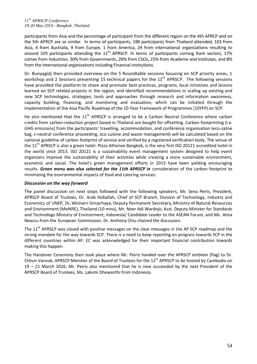participants from Asia and the percentage of participant from the different region on the 4th APRCP and on the 5th APRCP are so similar. In terms of participants, 188 participants from Thailand attended, 103 from Asia, 4 from Australia, 9 from Europe, 1 from America, 24 from international organizations resulting to around 329 participants attending the  $11<sup>th</sup>$  APRSCP. In terms of participants coming from sectors, 17% comes from Industries, 30% from Governments, 20% from CSOs, 25% from Academe and Institutes, and 8% from the International organizations including Financial institutions.

Dr. Bunyagidj then provided overview on the 5 Roundtable sessions focusing on SCP priority areas, 1 workshop and 2 Sessions presenting 15 technical papers for the  $11<sup>th</sup>$  APRSCP. The following sessions have provided the platform to share and promote best practices, programs, local initiatives and lessons learned on SCP related projects in the region, and identified recommendations in scaling up existing and new SCP technologies, strategies, tools and approaches through research and information awareness, capacity building, financing, and monitoring and evaluation, which can be initiated through the implementation of the Asia Pacific Roadmap of the 10-Year Framework of Programmes (10YFP) on SCP.

He also mentioned that the  $11<sup>th</sup>$  APRSCP is arranged to be a Carbon Neutral Conference where carbon credits from carbon-reduction project based in Thailand are bought for offsetting. Carbon footprinting (i.e. GHG emissions) from the participants' travelling, accommodation, and conference organisation (eco-saline bag, c-neutral conference proceeding, eco cuisine and waste management) will be calculated based on the national guideline of carbon footprint of service and verified by a registered verification body. The venue of the 11<sup>th</sup> APRSCP is also a green hotel. Plaza Athenee Bangkok, is the very first ISO 20121 accredited hotel in the world since 2013. ISO 20121 is a sustainability event management system designed to help event organizers improve the sustainability of their activities while creating a more sustainable environment, economic and social. The hotel's green management efforts in 2013 have been yielding encouraging results. *Green menu was also selected for the 11th APRSCP in* consideration of the carbon footprint to minimizing the environmental impacts of food and catering services.

# *Discussion on the way forward*

The panel discussion on next steps followed with the following speakers, Mr. Sena Peiris, President, APRSCP Board of Trustees, Dr. Arab Hoballah, Chief of SCP Branch, Division of Technology, Industry and Economics of UNEP, Dr. Wicharn Simachaya, Deputy Permanent Secretary, Ministry of Natural Resources and Environment(MoNRE), Thailand (10 mins), Mr. Noer Adi Wardojo, Asst. Deputy Minister for Standards and Technology Ministry of Environment, Indonesia/ Candidate Leader to the ASEAN Forum, and Ms. Alina Neacsu from the European Commission. Dr. Anthony Chiu chaired the discussion.

The 11<sup>th</sup> APRSCP was closed with positive messages on the clear messages in the AP SCP roadmap and the strong mandate for the way towards SCP. There is a need to keep reporting on progress towards SCP in the different countries within AP. EC was acknowledged for their important financial contribution towards making this happen.

The Handover Ceremony then took place where Mr. Peiris handed over the APRSCP emblem (flag) to Dr. Chhun Vannak, APRSCP Member of the Board of Trustees for the 12<sup>th</sup> APRSCP to be hosted by Cambodia on 19 – 21 March 2016. Mr. Peiris also mentioned that he is now succeeded by the next President of the APRSCP Board of Trustees, Ms. Laksmi Dhewanthi from Indonesia.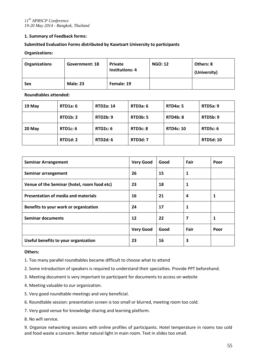# **1. Summary of Feedback forms:**

# **Submitted Evaluation Forms distributed by Kasetsart University to participants**

## **Organizations:**

| <b>Organizations</b> | Government: 18  | <b>Private</b><br><b>Institutions: 4</b> | <b>NGO: 12</b> | Others: 8<br>(University) |
|----------------------|-----------------|------------------------------------------|----------------|---------------------------|
| <b>Sex</b>           | <b>Male: 23</b> | Female: 19                               |                |                           |

**Roundtables attended:**

| 19 May | RTD1a: 6        | <b>RTD2a: 14</b> | RTD3a: 6        | <b>RTD4a: 5</b>  | <b>RTD5a: 9</b>  |
|--------|-----------------|------------------|-----------------|------------------|------------------|
|        | RTD1b: 2        | RTD2b:9          | <b>RTD3b: 5</b> | <b>RTD4b: 8</b>  | <b>RTD5b: 9</b>  |
| 20 May | RTD1c: 6        | RTD2c: 6         | RTD3c: 8        | <b>RTD4c: 10</b> | <b>RTD5c: 6</b>  |
|        | <b>RTD1d: 2</b> | RTD2d: 6         | <b>RTD3d: 7</b> |                  | <b>RTD5d: 10</b> |

| <b>Seminar Arrangement</b>                  | <b>Very Good</b> | Good | Fair         | Poor |
|---------------------------------------------|------------------|------|--------------|------|
| Seminar arrangement                         | 26               | 15   | $\mathbf{1}$ |      |
| Venue of the Seminar (hotel, room food etc) | 23               | 18   | 1            |      |
| <b>Presentation of media and materials</b>  | 16               | 21   | 4            | 1    |
| Benefits to your work or organization       | 24               | 17   | 1            |      |
| <b>Seminar documents</b>                    | 12               | 22   | 7            | 1    |
|                                             | <b>Very Good</b> | Good | Fair         | Poor |
| Useful benefits to your organization        | 23               | 16   | 3            |      |

#### **Others:**

- 1. Too many parallel roundtables became difficult to choose what to attend
- 2. Some introduction of speakers is required to understand their specialties. Provide PPT beforehand.
- 3. Meeting document is very important to participant for documents to access on website
- 4. Meeting valuable to our organization.
- 5. Very good roundtable meetings and very beneficial.
- 6. Roundtable session: presentation screen is too small or blurred, meeting room too cold.
- 7. Very good venue for knowledge sharing and learning platform.
- 8. No wifi service.

9. Organize networking sessions with online profiles of participants. Hotel temperature in rooms too cold and food waste a concern. Better natural light in main room. Text in slides too small.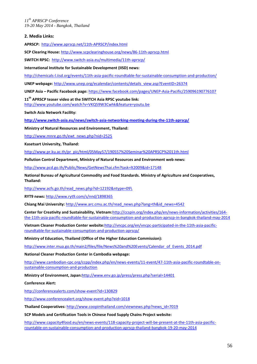#### **2. Media Links:**

**APRSCP:** <http://www.aprscp.net/11th-APRSCP/index.html>

**SCP Clearing House:** <http://www.scpclearinghouse.org/news/86-11th-aprscp.html>

**SWITCH RPSC:** <http://www.switch-asia.eu/multimedia/11th-aprscp/>

**International Institute for Sustainable Development (IISD) news:** 

<http://chemicals-l.iisd.org/events/11th-asia-pacific-roundtable-for-sustainable-consumption-and-production/>

**UNEP webpage:** [http://www.unep.org/ecalendar/contents/details\\_view.asp?EventID=26374](http://www.unep.org/ecalendar/contents/details_view.asp?EventID=26374)

**UNEP Asia – Pacific Facebook page:** <https://www.facebook.com/pages/UNEP-Asia-Pacific/259096190776107>

**11th APRSCP teaser video at the SWITCH Asia RPSC youtube link:**  <http://www.youtube.com/watch?v=VKQ59W3Cwhk&feature=youtu.be>

**Switch Asia Network Facility:**

**<http://www.switch-asia.eu/news/switch-asia-networking-meeting-during-the-11th-aprscp/>**

**Ministry of Natural Resources and Environment, Thailand:**

[http://www.mnre.go.th/ewt\\_news.php?nid=2525](http://www.mnre.go.th/ewt_news.php?nid=2525)

**Kasetsart University, Thailand:** 

[http://www.pr.ku.ac.th/pr\\_pic/html/05May57/190557%20Seminar%20APRSCP%2011th.html](http://www.pr.ku.ac.th/pr_pic/html/05May57/190557%20Seminar%20APRSCP%2011th.html)

**Pollution Control Department, Ministry of Natural Resources and Environment web news:** 

<http://www.pcd.go.th/Public/News/GetNewsThai.cfm?task=lt2009&id=17148>

**National Bureau of Agricultural Commodity and Food Standards. Ministry of Agriculture and Cooperatives, Thailand:**

[http://www.acfs.go.th/read\\_news.php?id=12192&ntype=09\](http://www.acfs.go.th/read_news.php?id=12192&ntype=09/)

**RYT9 news:** <http://www.ryt9.com/s/nnd/1898365>

**Chiang Mai University:** [http://www.arc.cmu.ac.th/read\\_news.php?lang=th&id\\_news=4542](http://www.arc.cmu.ac.th/read_news.php?lang=th&id_news=4542)

**Center for Creativity and Sustainability, Vietnam:**[http://ccspin.org/index.php/en/news-information/activities/164](http://ccspin.org/index.php/en/news-information/activities/164-the-11th-asia-pacific-roundtable-for-sustainable-consumption-and-production-aprscp-in-bangkok-thailand-may-2014) [the-11th-asia-pacific-roundtable-for-sustainable-consumption-and-production-aprscp-in-bangkok-thailand-may-2014](http://ccspin.org/index.php/en/news-information/activities/164-the-11th-asia-pacific-roundtable-for-sustainable-consumption-and-production-aprscp-in-bangkok-thailand-may-2014)

**Vietnam Cleaner Production Center website:**[http://vncpc.org/en/vncpc-participated-in-the-11th-asia-pacific](http://vncpc.org/en/vncpc-participated-in-the-11th-asia-pacific-roundtable-for-sustainable-consumption-and-production-aprscp/)[roundtable-for-sustainable-consumption-and-production-aprscp/](http://vncpc.org/en/vncpc-participated-in-the-11th-asia-pacific-roundtable-for-sustainable-consumption-and-production-aprscp/)

**Ministry of Education, Thailand (Office of the Higher Education Commission):** 

[http://www.inter.mua.go.th/main2/files/file/News%20and%20Events/Calendar\\_of\\_Events\\_2014.pdf](http://www.inter.mua.go.th/main2/files/file/News%20and%20Events/Calendar_of_Events_2014.pdf)

**National Cleaner Production Center in Cambodia webpage:** 

[http://www.cambodian-cpc.org/ccpp/index.php/en/news-events/11-event/47-11th-asia-pacific-roundtable-on](http://www.cambodian-cpc.org/ccpp/index.php/en/news-events/11-event/47-11th-asia-pacific-roundtable-on-sustainable-consumption-and-production)[sustainable-consumption-and-production](http://www.cambodian-cpc.org/ccpp/index.php/en/news-events/11-event/47-11th-asia-pacific-roundtable-on-sustainable-consumption-and-production)

**Ministry of Environment, Japan:**<http://www.env.go.jp/press/press.php?serial=14401>

**Conference Alert:** 

<http://conferencealerts.com/show-event?id=130829>

<http://www.conferencealert.org/show-event.php?eid=1018>

**Thailand Cooperatives:** [http://www.coopinthailand.com/viewnews.php?news\\_id=7019](http://www.coopinthailand.com/viewnews.php?news_id=7019)

**SCP Models and Certification Tools in Chinese Food Supply Chains Project website:** 

[http://www.capacity4food.eu/en/news-events/118-capacity-project-will-be-present-at-the-11th-asia-pacific](http://www.capacity4food.eu/en/news-events/118-capacity-project-will-be-present-at-the-11th-asia-pacific-rountable-on-sustainable-consumption-and-production-aprscp-thailand-bangkok-19-20-may-2014)[rountable-on-sustainable-consumption-and-production-aprscp-thailand-bangkok-19-20-may-2014](http://www.capacity4food.eu/en/news-events/118-capacity-project-will-be-present-at-the-11th-asia-pacific-rountable-on-sustainable-consumption-and-production-aprscp-thailand-bangkok-19-20-may-2014)